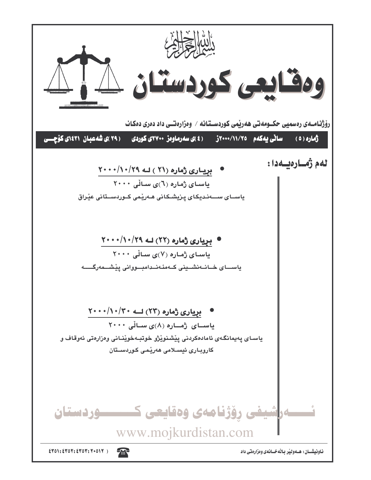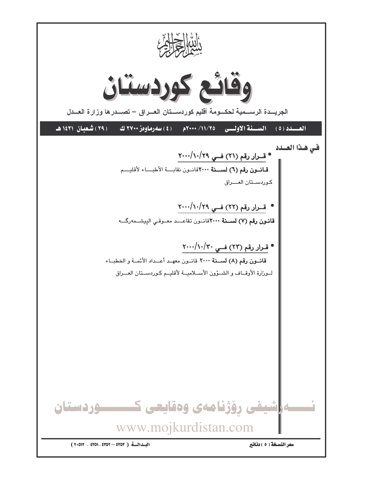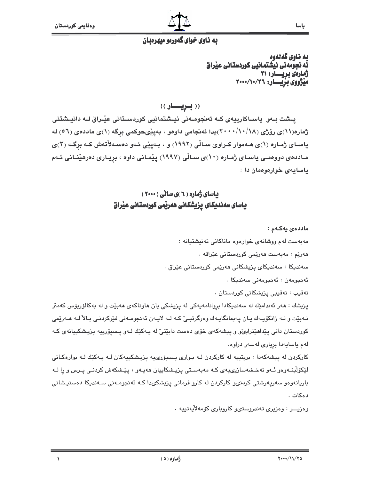# به ناوي خواي گهوردو ميهردبان

ىە ناوي گەنەوە نَّه نجومُهني نيشتمانيي كوردستاني عيْراق ژمارەى بريسار: ٢١ میژووی بریسار: ۲۰۰۰/۱۰/۲۶

((بريسار))

یـشت بـهو یاسـاکارییهی کـه ئەنجومـەنى نیـشتمانیی کوردسـتانی عیْـراق لـه دانیـشتنی ژماره(۱۱)ی رۆژی (۱۸/۱/۱۸)یدا ئەنجامی داوەو ، بەييْىحوكمى برگە (۱)ی ماددەی (٥٦) لە یاسـای ژمـاره (۱)ی هـهموار کـراوی سـالّی (۱۹۹۲) و ، بـهییّی ئـهو دهسـهلأتهش کـه برگـه (۲)ی مـاددەي دووەمـى ياسـاي ژمـارە (١٠)ى سـاڵى (١٩٩٧) يێمـانى داوە ، بريـارى دەرھێنـانى ئـﻪم باسابهی خوارهوهمان دا:

# باسای ژماره ( ۲ )ی سانی ( ۲۰۰۰) یاسای سەندیکای یزیشکانی ھەریمی کوردستانی عیراق

ماددەي يەكەم :

مەبەست لەم ووشانەي خوارەوە ماناكانى تەنيشتيانە :

ھەرێم : مەبەست ھەرێمى كوردستانى عێراقە ٠

سەندىكا : سەندىكاي پزيشكانى ھەرپمى كوردستانى عێراق .

ئەنجومەن : ئەنجومەنى سەندىكا .

نەقىب : نەقىبى يزيشكانى كوردستان .

پزیشك : هەر ئەندامێك لە سەندىيكادا بروانامەيەكى لە پزیشكى يان هاوتاكەي ھەبێت و لە بەكالۆرپۆس كەمتر نـﻪبێت و لـﻪ زانکۆيـﻪك يـان پـﻪپمانگايـﻪك وەرگرتبـێ كـﻪ لـﻪ لايـﻪن ئـﻪنجومـﻪنى فێركردنـى بـالآ لـﻪ ھـﻪرێمى کوردستان دانی پێداهێنرابیٚو و پیشهکهی خۆی دهست دابێتیٚ له پـهکێك لـهو پـسیۆرپیه پزیـشکیپانهی کـه لهم ياسايهدا بريارى لهسهر دراوه.

کارکردن له پیشهکهدا : بریتییه له کارکردن لـه بـواری پـسیۆری،یه پزیـشکییهکان لـه پـهکێك لـه بوارهکـانی لێػۆڵێنـﻪوەو ئـﻪو نەخـشەسازیىيەى كـﻪ مەبەسـتى پزيـشكاييان ھەيـﻪو ، پێـشكەش كردنـى پـرس و را لـﻪ باریانهوهو سهریهرشتی کردنیو کارکردن له کارو فرمانی پزیشکیدا کـه ئهنجومـهنی سـهندیکا دهسنیـشانی دەكات .

وەزيـــر : وەزيرى تەندروستىو كاروبارى كۆمەلأيەتييە .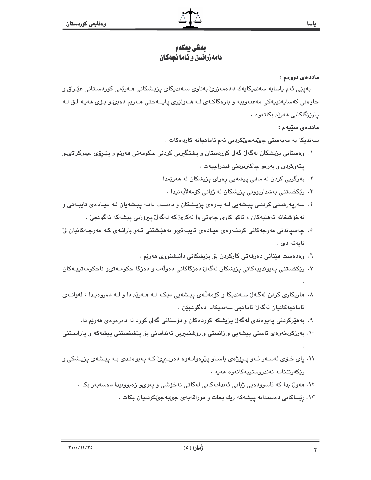# بەشى بەكەم دامەزراندن و ئـاما نجەكان

#### ماددە*ى* دووەم :

بەيێى ئەم ياساپە سەندىكايەك دادەمەزرىّ بەناوى سـەندىكاي پزيـشكانى ھـەرێمى كوردسىتانى عێـراق و خاوهنی کهسایهتییهکی مهعنهوییه و بارهگاکـهی لـه هـهولێری یابتـهختی هـهرێم دهبیٚـو بـۆی ههیـه لـق لـه يارێزگاکانی هەرێم بکاتەوە ٠

#### ماددەي سێپەم :

سەندىكا بە مەبەستى جىبەجى كردنى ئەم ئامانجانە كاردەكات .

- ۱. وەستانی پزیشکان لەگەلٚ گەلى کوردستان و پشتگیریی کردنی حکومەتی مەرێم و پێرۆی دیموکراتىـو يتەوكردن و بەرەو چاكتربردنى فيدرالييەت .
	- ۲. بەرگریی کردن لە مافی پیشەیی رەوای پزیشکان لە ھەرێمدا.
	- ۰۳ رێکخستنی بەشداربوونی پزیشکان لە ژیانی کۆمەلأيەتىدا .
- ٤. سەريەرشتى كردنـى ييـشەيى لـه بـارەي يزيـشكان و دەسـت دانـه ييـشەيان لـه عيـادەي تايبـەتى و نەخۆشخانە ئەھليەكان ، تاكو كارى چەوتى وا نەكرىٰ كە لەگەلْ پېرۆزيى پېشەكە نەگونجىٰ .
- <sup>0</sup>. چەسپاندنى مەرجەكانى كردنـەوەي عيـادەي تايبـەتىھ نەھێشتنى ئـەو بارانـەي كـە مەرجـەكانيان لِّ نابەتە دى .
	- ٦. وەدەست ھێنانى دەرفەتى كاركردن بۆ يزيشكانى دانيشتووى ھەرێم .
- ۷. ريکخستني پەيوندىيەکانى پزيشکان لەگەل دەزگاکانى دەولەت و دەزگا چکومەتىھو ناچکومەتىيـەکان
- ۸. هاریکاری کردن لهگەلٌ سـهندیکا و کۆمەڵەی پیشەیی دیکـه لـه هـهریّم دا و لـه دەروەیـدا ، لەوانـەی ئامانجەكانيان لەگەلٚ ئامانجى سەندېكادا دەگونجێن ٠
	- ۹. بەھێزکردنی پەيوەندى لەگەلٌ پزیشکە کوردەکان و دۆستانی گەلی کورد لە دەرەوەی ھەرێم دا.
- ۱۰. بەرزكردنەوەي ئاستى پيشەيى و زانستى و رۆشنبىرىي ئەندامانى بۆ پێشخستنى پيشەكە و پاراسـتنى
- ۱۱. رای خـۆی لەسـەر ئـەو پـرۆژەی ياسـاو پێرەوانـەوە دەربـېری کـه پەيوەنـدی بـه پيـشەی پزيـشكی و رێػەوتننامە تەندروستىيەكانەوە ھەيە .
	- ١٢. ھەولٌ بدا كە ئاسوردەيى ژيانى ئەندامەكانى لەكاتى نەخۆشى ر يېرىر زەبورنيدا دەسەبەر بكا ٠
		- ۱۳. رِیّساکانی دهستدانه پیشهکه ریك بخات و موراقهبهی جیّبهجیّکردنیان بکات .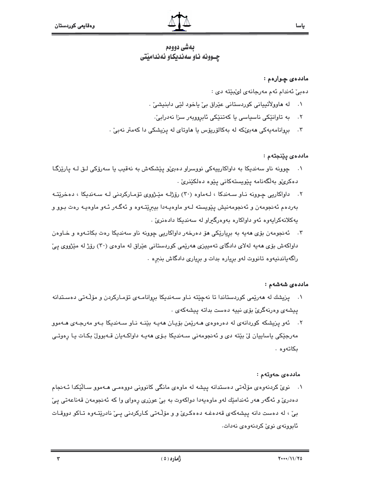# بەشى دووەم چـوونه نـاو سهنديكـاو ئهنداميْتى

#### ماددەى چوارەم :

دەبى ئەندام ئەم مەرجانەي لى بيته دى :

- له هاوولاتيپاني کوردستاني عێراق بيّ ياخود لێي دابنيشيّ .  $\cdot$ 
	- ٢. به تاوانێکی ناسیاسی یا کهتنێکی ئابروویهر سزا نهدرابیّ.
- ۴. بروانامەيەكى ھەبىِّكە لە بەكالۆريۆس يا ھاوتاي لە يزيشكى دا كەمتر نەبىِّ .

ماددەي پێنجتەم :

- ۰۱ چوونه ناو سەندىكا بە داواكارىيەكى نووسراو دەبى،ّو پێشكەش بە نەقىب يا سەرۆكى لـق لــە پارێزگـا دەكرىڭو بەلگەنامە پێويستەكانى يێوە دەلكێنرىّ .
- ۲. داواکاریی چوونه نـاو سـهندکا ، لـهماوه (۳۰) رۆژلـه مێـژووی تۆمـارکردنی لـه سـهندیکا ، دهخرێتـه بهردهم ئهنجومهن و ئهنجومهنيش پێويسته لـهو ماوهيـهدا بيبرێتـهوه و ئهگـهر ئـهو ماوهيـه رهت بـوو و پهکلانهکراپهوه ئهو داواکاره بهوهرگیراو له سهندیکا دادهنری .
- ۳. ئەنجومەن بۆی ھەيە بە بريارێکی ھۆ دەرخەر داواکاریی چوونە ناو سەندیکا رەت بکاتـەوە و خـاوەن داواکهش بۆی هەیە لەلای دادگای تەمپیزی هەرپمی کوردستانی عیّراق له ماوەی (۳۰) رۆژ له میّژووی ییّ راگهپاندنیهوه تانووت لهو بریاره بدات و بریاری دادگاش بنبره .

#### ماددەي شەشەم :

- ۰۱ \_ پزیشك له هەرێمی كوردستاندا تا نەچێتە نـاو سـەندیكا بروانامـەی تۆمـاركردن و مۆڵـەتی دەسـتدانه ييشەي وەرنەگرىٰ بۆي نييە دەست بداتە ييشەكەي .
- ۲. ئەو پزیشکە کوردانەي لە دەرەوەي ھـەرێمن بۆيـان ھەپـە بێنــە نـاو سـەندىكا بـەو مەرجـەي ھـەموو مەرجێکی یاساییان لیٌ بێته دی و ئەنجومەنی سـەندیکا بـۆی ھەیـە داواکـەیان قـەبوولٌ بکـات یـا رِەوتـی بكاتەوە .

### ماددەى خەرتەم :

۰۱ نوی کردنهوهی مۆلّەتی دەستدانه پیشه له ماوەی مانگی کانوونی دووەمـی هــهموو سـالێکدا ئــهنجام دهدریؒ و ئەگەر ھەر ئەندامێك لەو ماوەپەدا دواكەوت بە بیؒ عوزری رەوای وا كە ئەنجومەن قەناعەتی يیؒ بيّ ، له دهست دانه پيشهکهي قهدهغـه دههکريّ و و مۆڵـهتي کـارکردني پـيّ نادريّتـهوه تـاکو دووقـات ئابوونەي نوێ كردنەوەي نەدات.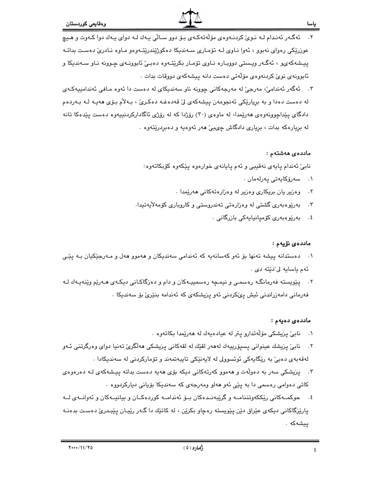#### ياسا

- ئەگەر ئەندام لـﻪ نـﻮێ كردنـﻪﻭﻩﻱ ﻣﯚﻟﻪﺗﻪﻛـﻪﻱ ﺑـﯚ ﺩﻭﻭ ﺳـﺎﻟّﻰ ﭘـﻪﻙ ﻟـﻪ ﺩﻭﺍﻱ ﭘـﻪﻙ ﺩﻭﺍ ﻛـﻪﻭﺕ ﻭ ﻫـﻴـﭽ  $\cdot$   $\mathsf{r}$ عوزريکي رهواي نهبوو ، ئهوا نـاوي لـه تۆمـاري سـهنديکا دهکوژيندريتـهوهو مـاوه نـادريّ دهسـت بداتـه پيشهکهي و ، ئهگـهر ويستي دوويـاره نـاوي تۆمـار بکرێتـهوه دهبـێ ئابوونـهي چـوونه نـاو سـهنديکا و ئابوونەي نويٌ كردنەوەي مۆلّەتى دەست دانە پيشەكەي دووقات بدات .
- ۳. ئەگەر ئەندامىؒ، مەرجىؒ لە مەرجەكانى چوونە ناو سەندىكاى لە دەست دا ئەوە مـافى ئەندامىيەكـەى له دەست دەدا و به بريارێكى ئەنجومەن پيشەكەي لىّ قەدەغـە دەكـرىّ ، بـەلأم بـۆى ھەيـە لـە بـەردەم دادگای پێداچوونهوهی ههرێمدا، له ماوهی (۳۰) رۆژدا که له رۆژی ئاگادارکردنیپهوه دهست پێدهکا تانه له بريارهکه بدات ، برياري دادگاش چېبيّ ههر ئهوهيه و دهبردريّتهوه .

#### ماددەى ھەشتەم :

نابيّ ئەندام ياپەي نەقيبى و ئەم يايانەي خوارەوە يێكەوە كۆبكاتەوە:

- ۰۱ سەرۆكايەتى پەرلەمان
- وهزیر یان بریکاری وهزیر له وهزارهتهکانی ههریمدا .  $\cdot$   $\mathsf{r}$
- ۳. پهرێوهبهری گشتی له وهزارهتی تهندروستی و کاروباری کۆمهلاّیهتیدا.
	- ٤. بەريوەبەرى كۆميانيايەكى بازرگانى .

#### ماددەي نۆيەم :

- ۰۱ د دمستدانه پیشه تهنها بۆ ئەو كەسانەيە كە ئەندامى سەندىكان و ھەموو ھەل و مـەرجێكيان بـە يێـى ئهم ياسايه لى ٌديّته دى .
- ۲. پێویسته فهرمانگـه رەسمـی و نیمـچه رەسمىيـهکان و دام و دەزگاکـانی دیکـهی هـهرێم وێنهیـهك لـه فەرمانى دامەزراندنى ئيش پىڭكردنى ئەو پزيشكەي كە ئەندامە بنێرىٰ بۆ سەندىكا .

#### ماددەي دەيەم :

- ۰۱ نابئ پزیشکی مۆلّەتدارو پتر له عیادەپەك لە ھەرێمدا بكاتەوە ٠
- ۲. نابیؒ پزیشك عینوانی پسیۆرییەك لەھەر لقێك لە لقەكانی پزیشكی ھەلگریؒ تەنیا دوای وەرگرتنی ئـەو لەقەبەي دەبىؒ بە رێگاپەكى ئوئسوولى لە لاپەنێكى تاپبەتمەند و تۆماركردنى لە سەندېكادا .
- ۳. \_ یزیشکی سهر به دهولّهت و ههموو کهرتهکانی دیکه بۆی ههیه دهست بداته پیشهکهی لـه دهرهوهی کاتی دەوامی رەسمی دا بە يێی ئەو ھەلو ومەرجەی کە سەندىکا بۆيانی ديارکردووە ٠
- ٤. حوكمــهكاني رێككهوتننامــه و گرێبهنــدهكان بــۆ ئەندامــه كوردهكــان و بيانيــهكان و ئەوانــهى لــه پارێزگاکانی دیکهی عێراق دێن پێویسته رهچاو بکرێن ، له کاتێك دا گـهر رێپـان پێبـدریٚ دهست بدهنـه ييشەكە .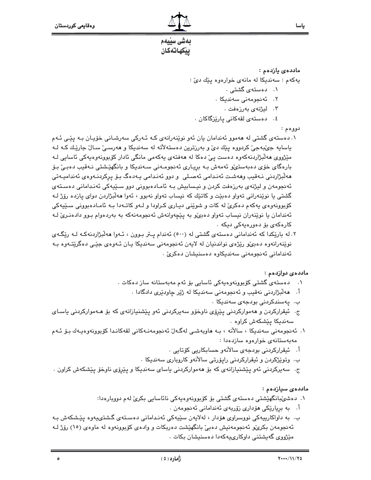### ماددەي يازدەم :

يهکهم : سهنديکا له مانهی خوارهوه پێك دیّ :

- ۰۱ دهسته*ی*گشتی .
- ۰۲ ئەنجومەنى سەندىكا .
	- ۰۳ لیژنهی بهرزهفت .
- ٤. دەستەي لقەكانى پارێزگاكان .

دووهم :

- ۰. دهستهی گشتی له ههموو ئهندامان پان ئهو نوێنهرانهی کـه ئـهرکی سهرشـانی خۆپـان بـه پێـی ئـهم پاسايه جيٽبهجي کردووه پٽك ديّ و بهرزترين دهستهلاته له سهنديکا و ههرسـيٰ سـالٰ جارێـك کـه لـه مێژووي هەڵبژاردنەكەوە دەست يېّ دەكا لە ھەڧتەي يەكەمى مانگى ئادار كۆبوونەوەيەكى ئاسايى لـە بارهگای خۆی دەبەستى،و ئەمەش بـە بريـاری ئەنجومـەنى سـەندېكا و بانگهێشتى نـەقىب دەبـى بـۆ ھەلّىژاردىنى نـﻪقيب وھەشـت ئەنـدامى ئەصـلى و دوو ئەنـدامى يـﻪدەگ بـۆ يركردنـﻪوەي ئەنداميـﻪتى ئەنجومەن و لیژنەي بەرزەفت كردن و نیسابیش بـه ئامـادەبوونى دوو سـێیەكى ئەنـدامانى دەسـتەي گشتي يا نوێنهراني تهواو دهبێت و کاتێك که نيساب تهواو نهبوو ، ئهوا ههڵبژاردن دواي يازده رۆژ لـه کۆپوونەوەي پەکەم دەکرئ لە کات و شوێنى ديـارى کـراودا و لـەو کاتـەدا بـە ئامـادەبوونى سـێپەکى ئەندامان يا نوێنەران نيساب تەواو دەبى، به يێچەوانەش ئەنجومەنەكە بە بەردەوام بـوو دادەنـرى لـه کارەکەی بۆ دەررەيەكى دېكە ٠
- ۰۲ باریکدا که ئهندامانی دهستهی گشتی له (۵۰۰) ئهندام پتر بوون ، ئـهوا ههلبژاردنهکـه لـه ریکـهـی نوێنەرانەوە دەبى،و رێژەي نواندنيان لە لايەن ئەنجومەنى سەندىكا يـان ئـەوەي جێـى دەگرێتـەوە بـە ئەندامانى ئەنجومەنى سەندىكاوە دەسنىشان دەكرىؒ .

### ماددە*ى د*واردەم :

- ۰۱ دەستەي گشتى كۆبوونەوەيەكى ئاسايى بۆ ئەم مەبەستانە ساز دەكات .
	- اً . هەڵبژاردنی نەقیب و ئەنجومەنی سەندیکا لە ژێر چاودێری دادگادا .
		- ب. يەسندكردنى بودجەي سەندېكا .
- ج. ئیقرارکردن و ههموارکردنی ییّرۆی ناوخۆو سەیرکردنی ئەو ییّشنیازانەی کە بۆ ھـەموارکردنی یاسـای سەندىكا يێشكەش كراوە ٠
- ۰۱ ئەنجومەنى سەندىكا ، سالانە ، بـە ھاوبەشىي لەگـەلّ ئەنجومەنـەكانى لقەكانـدا كۆبوونەوەيـەك بـۆ ئـەم مەيەستانەي خوارەوە سازدەدا :
	- أ. ئيقراركردنى بودجەي سالأنەو حسابكاريى كۆتايى .
	- ب. وتوێژکردن و ئیقرارکردنی رایۆرتی سالانهو کاروباری سهندیکا .
- ج. سەيركردنى ئەو پێشنيازانەي كە بۆ ھەمواركردنى ياساي سەندىكا و پێرۆي ناوخۆ پێشكەش كراون .

# ماددەي سيازدەم :

- ۱. دەشىنبانگهێشتى دەستەي گشتى بۆ كۆبورنەرەپەكى نائاسايى بكرىّ لەم دوربارەدا:
	- أ. به بريارێکی هۆداری زۆريەی ئەندامانی ئەنجومەن .
- ب. به داواکارییهکی نووسراوی هۆدار ، لهلایەن سێیەکی ئەندامانی دەستەی گشتىيەوە يێشکەش بـه ئەنجومەن بكرى،ّو ئەنجومەنيش دەبىّ بانگهێشت دەربكات و وادەي كۆبوونەوە لە ماوەي (١٥) رۆژ لـە مێژووی گەپشتنی داوکاری،پەکەدا دەسنپشان بکات ٠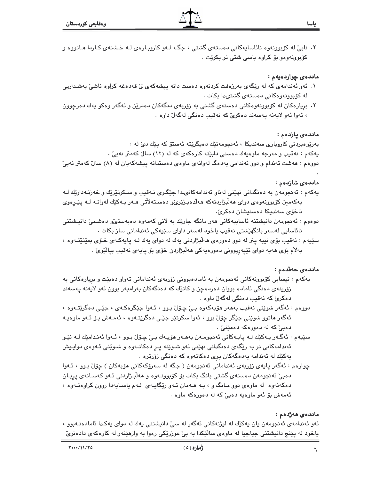۲. نابی له کوبوونهوه نائاسایهکانی دهستهی گشتی ، جگه لـهو کارویـارهی لـه خـشتهی کـاردا هـاتووه و کۆبوونەوەو بۆ کراوە باسى شتى تر بکرێت .

#### ماددەى چواردەيەم :

- ۱. ئەو ئەندامەي كە لە رێگەي بەرزەفت كردنەوە دەست دانە پیشەكەي لى قەدەغە كراوە ناشى بەشداريى له کۆبوونەوەکانى دەستەي گشتىدا بكات .
- ۲. بریارهکان له کۆبوونهوهکانی دهستهی گشتی به زۆربهی دنگهکان دهدرێن و ئهگهر وهکو یهك دهرچوون ، ئەوا ئەو لايەنە يەسەند دەكرىّ كە نەقيب دەنگى لەگەلّ داوە .

#### ماددەى يازدەم :

بەرێوەبردنى كاروبارى سەندىكا ، ئەنجومەنێك دەيگرێتە ئەستۆ كە پێك دێ لە : پهکهم : نهقیب و مەرجە ماوەپەك دەستى دابێته کارەکەی کە لە (١٢) سالٌ کەمتر نەبیؒ .

دووهم : هەشت ئەندام و دوو ئەندامى يەدەگ لەوانەي ماوەي دەستدانە ييشەكەيان لە (٨) سالٌ كەمتر نەبىٌ

#### ماددەي شازدەم :

- پەكەم : ئەنجومەن بە دەنگدانى نھێنى لەناو ئەندامەكانىدا جێگـرى نـەقىب و سـكرتێرێك و خەزنـەدارێك لـە پەكەمىن كۆبورنەوەي دواي ھەلىژاردنەكە ھەلدەبىژێرىۆو دەسىتەلأتى ھـەر پـەكێك لەوانـە لــە پێـرەوي ناخۆي سەندىكا دەسنىشان دەكرىٰ.
- دوەوم : ئەنجومەن دانيشتنە ئاساپيەكانى ھەر مانگە جارێك بە لانى كەمەوە دەبەستىٚو دەشىبىٚ دانيشتنى نائاسايى لەسەر بانگهێشتى نەقىب ياخود لەسەر داواى سێپەكى ئەندامانى ساز بكات ٠
- سێپهم : نهقيب بۆی نيپه پتر له دوو دهورهی ههلابژاردنی يهك له دوای يهك لـه يايهكـهی خـوّی بمێنێتـهوه ، بەلأم بۆي ھەيە دواي تێپەربوونى دەورەپەكى ھەلْبژاردن خۆي بۆ ياپەي نەقيب بيالێوێ .

### ماددەى خەقدەم :

- پەكەم : نيسابى كۆبوونەكانى ئەنجومەن بە ئامادەبوونى زۆربەي ئەندامانى تەواو دەبێت و بريارەكانى بە زۆرىنەي دەنگى ئامادە بووان دەردەچن و كاتێك كە دەنگەكان بەرامبەر بوون ئەو لايەنە يەسەند دهکريّ که نهقيب دهنگي لهگهلّ داوه .
- دووهم : ئەگەر شوێنى نەقيب بەھەر ھۆيەكەوە بىّ چۆل بوو ، ئـەوا جێگرەكـەي ، جێـى دەگرێتـەوە ، ئهگەر ماتوو شوێنی جێگر چۆڵ بوو ، ئەوا سکرتێر جێی دەگرێتـەوە ، ئەمـەش بـۆ ئـەو ماوەيـە دهېئ که له دهورهکه دهمێنئ` .
- سێڀەم : ئەگـەر پـەكێك لـە پايـەكانى ئەنجومـەن بەھـەر ھۆپـەك بـىٚ چـۆلْ بـوو ، ئـەوا ئەنـدامێك لـە نێـو ئەندامەكانى تر بە رێگەي دەنگدانى نهێنى ئەو شىوێنە يىر دەكاتـەرە و شىوێنى ئـەوەي دوايـيش پهکێك له ئەندامە پەدەگەكان پرى دەكاتەوە كە دەنگى زۆرترە ٠
- چوارەم : ئەگەر پايەي زۆربەي ئەندامانى ئەنجومەن ( جگە لە سەرۆكەكانى ھۆبەكان ) چۆل بوو ، ئـەوا دهېيّ ئەنجومەن دەستەي گشتى بانگ بكات بۆ كۆبوونـەوە و ھەلّبـژاردنى ئـەو كەسـانەي پريـان دهکهنهوه له ماوهی دوو مـانگ و ، بـه هـهمان ئـهو ريکايـهی لـهم ياسـايهدا روون کراوهتـهوه ، ئهمهش بۆ ئەو ماوەيە دەبى' كە لە دەورەكە ماوە ٠

#### ماددەي ھەژدەم :

ئەو ئەندامەي ئەنجومەن يان پەكێك لە ليژنەكانى ئەگەر لە سى دانيشتنى يەك لە دواي پەكدا ئامادەنـەبوو ، باخود له پێنج دانیشتنی جیاجیا له ماوهی سالێکدا به بیّ عوزرێکی رهوا به وازهێنهر له کارهکهی دادهنریّ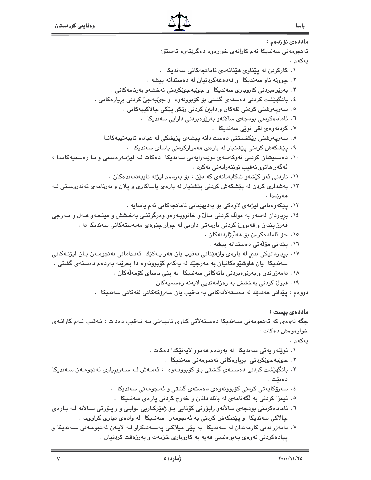| ماد <i>د</i> ە <i>ى</i> ئۆزدەم :                                                                     |
|------------------------------------------------------------------------------------------------------|
| ئەنجومەنى سەندىكا ئەم كارانەى خوارەوە دەگرێتەوە ئەستۆ:                                               |
| يەكەم                                                                                                |
| ۰۱ کارکردن له پێناوی هێنانهدی ئامانجهکانی سهندیکا ۰                                                  |
| ۲. چوونه ناو سەندیکا  و قەدەغەکردنیان لە دەستدانە پیشە .                                             |
| ۳. بەرێوەبردنى كاروبارى سەندىكا  و جێبەجێكردنى نەخشەو بەرنامەكانى  .                                 |
| ٤. بانگهێشت کردنی دهستهی گشتی بۆ کۆبوونهوه  و جێبهجێ کردنی برِیارهکانی .                             |
| ۰. سەريەرشتى كردنى لقەكان و دابين كردنى رێكو پێكى چالاكپيەكانى ٠                                     |
| ٦. ئامادەكردنى بودجەى سالآنەو بەرێوەبردنى دارايى سەنديكا   .                                         |
| ۰۷ کردنهوهی لقی نوێی سهندیکا .                                                                       |
| ۰۸ سەرپەرشتى رێکخستنى دەست دانە پیشەى پزیشکى لە عیادە تايبەتییەکاندا .                               |
| ۹. پێشکەش کردنی پێشنیار لە بارەی ھەموارکردنی یاسای سەندیکا                                           |
| ۱۰. دەسنىشان كردنى ئەوكەسەى نوێنەراپەتى سەندىكا  دەكات لـە لىژنـەرەسمى و نـا رەسمىەكانـدا ،          |
| ئەگەر ماتوو نەقىب نوێنەراپەتى نەكرد ٠                                                                |
| ۱۱. ناردنی ئەو كێشەو شكايەتانەی كە دێن ، بۆ بەردەم ليژنە تايبەتمەندەكان .                            |
| ۱۲.  بهشداری کردن له پێشکهش کردنی پێشنیار له بارهی یاساکاری و پلان و بهرنامهی تهندروسـتی لـه         |
| ھەرێمدا .                                                                                            |
| ۱۳. پێکەوەنانى لیژنەی لاوەکی بۆ بەدىھێنانى ئامانجەکانى ئەم ياسايە ٠                                  |
| ۱۶.  بریاردان لهسهر به مولّك كردنی مـالٌ و خانووبـهرهو وهرگرتنــی بهخـشش و مینحـهو هــهل و مــهرجی   |
| قهرز پێدان و قهبوولٌ کردنی یارمهتی دارایی له چوار چێوهی مهبهستهکانی سهندیکا دا .                     |
| ١٥. خۆ ئامادەكردن بۆ ھەلبژاردنەكان .                                                                 |
| ۱٦. پێدانی مۆلّەتى دەستدانە پيشە .                                                                   |
| ۱۷. برپاردانێکی بنبرِ له بارهی وازهێنانی نهقیب یان ههر یـهکێك  ئهنـدامانی ئهنجومـهن یـان لیژنــهکانی |
| سەندىكا  يان ھاوشێوەكانيان بە مەرجێك لە يەكەم كۆبوونەوە دا بخرێنە بەردەم دەستەي گشتى .               |
| ۱۸. دامەزراندن و بەرێوەبردنى يانەكانى سەندىكا  بە پێى ياساى كۆمەڵەكان .                              |
| ۱۹. قبول کردنی بەخشش بە رەزامەندیی لایەنە رەسمیەکان .                                                |
| دووهم : پێدانی هەندێك لە دەستەلأتەكانی بە نەقیب یان سەرۆكەكانی لقەكانی سەندیكا   .                   |
| ماددەي بيست :                                                                                        |
| جگه لهوهي که ئهنجومهني سـهنديکا دهسـتهلأتي کـاري تايبـهتي بـه نـهقيب دهدات ، نـهقيب ئـهم کارانـهي    |
| خوارەوەش دەكات :                                                                                     |
| يەكەم :                                                                                              |
| ۰۱ نوێنەراپەتى سەندىكا  لە بەردەم ھەموو لايەنێكدا دەكات .                                            |
| ۰۲ جىّبەجىّكردنى  بريارەكانى ئەنجومەنى سەندىكا   .                                                   |
| ۳. بانگهێشت کردنی دەسـتەی گىشتى بـۆ کۆبوونـەوە  ، ئەمـەش لـە سـەربريارى ئەنجومـەن سـەنديكا           |

- .یکا رېرپارى ٩و, وبوود دردىي دەبێت .
	- ٤. سەرۆكايەتى كردنى كۆبورنەوەي دەستەي گشتى و ئەنجومەنى سەندىكا .
	- ٥. ئیمزا کردنی به لّگهنامهی له بانك دانان و خهرج کردنی پارهی سهندیکا ٠
- ٦. ئامادەكردنى بودجەي سالآنەو راپۆرتى كۆتايى بىۆ ژمێركـاريى دوايـى و راپـۆرتى سـالآنە كـە بـارەي چالاکی سەندیکا و پێشکەش کردنی بە ئەنجومەن سەندیکا لە وادەی دیاری کراویدا .
- ۷. دامەزراندنی کارمەندان لە سەندىكا بە پێی میلاکی پەسـەندکراو لـه لايـەن ئەنجومـەنی سـەندىكا و پیادهکردنی ئهوهی پهیوهندیی ههیه به کاروباری خزمهت و بهرزهفت کردنیان .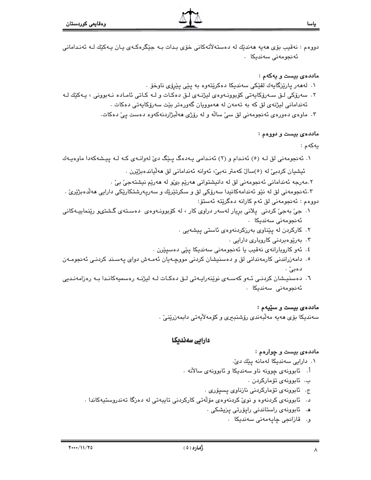دووهم : نەقيب بۆي ھەيە ھەندێك لە دەستەلاتەكانى خۆي بىدات بـە جێگرەكـەي يـان پـەكێك لـە ئەنـدامانى ئەنجومەنى سەندىكا .

#### ماددهى بيست و يەكەم :

- ۰. لەمەر يارێزگايەك لقێكى سەندىكا دەكرێتەوە بە يێى يێرۆى ناوخۆ ٠
- ۲. سەرۆكى لـق سـەرۆكايەتى كۆبورنـەرەي ليژنـەي لـق دەكـات و لـە كـاتى ئامـادە نـەبورنى ، يـەكێك لـە ئەندامانى ليژنەي لق كە بە تەمەن لە ھەموويان گەورەتر بێت سەرۆكايەتى دەكات .
	- ۴. ماوەی دەورەی ئەنجومەنی لق سیّ سالّە و لە رۆژی ھەلّبژاردنەكەوە دەست يیّ دەكات.

#### ماددهى بيست و دووهم :

#### يەكەم :

۰۱ ئەنجومەنى لق لـه (٥) ئەنـدام و (٢) ئەنـدامى يـەدەگ پـێگ دىّ لەوانـەى كـه لـه پيـشەكەدا ماوەيـەك

ئيشيان كردبيّ له (٥)سالٌ كەمتر نەبيّ، ئەوانە ئەندامانى لق ھەلّياندەبژێرن .

۲.مەرجە ئەندامانى ئەنجومەنى لق لە دانيشتوانى ھەرێم بىؒو لە ھەرێم نيشتەجىٚ بىٚ ٠

۴.ئەنجومەنى لق لە نێو ئەندامەكانىدا سەرۆكى لق و سكرتێرێك و سەريەرشتكارێكى دارايى ھەڵدەبژێرێ . دووهم : ئەنجومەنى لق ئەم كارانە دەگرێتە ئەستۆ:

- ۰۱ جيّ بهجيّ کردني پلاني برِيار لهسهر دراوي کار ، له کۆبوونـهوهي دهسـتهي گـشتىو رێنماييـهکاني ئەنجومەنى سەندېكا .
	- ۲. کارکردن له یێناوی بهرزکردنهوهی ئاستی ییشهیی .
		- ۰۳ بەرێوەبردنى كاروبارى دارايى .
	- ٤. ئەو كاروبارانەي نەقيب يا ئەنجومەنى سەندىكا يێى دەسيێرن .
- ۰۵ دامەزراندنی کارمەندانی لق و دەسنیشان کردنی مووچـەیان ئەمـەش دوای پەسـند کردنـی ئەنجومـەن دهبي .
- ٦. دەسنيشان كردنـى ئـەو كەسـەى نوێنەراپـەتى لـق دەكـات لـە ليژنـە رەسميەكانـدا بـە رەزامەنـديى ئەنجومەنى سەندىكا .

#### ماددهي بيست و سێيهم :

سەندىكا بۆي ھەيە مەلبەندى رۆشنبىرى وكۆمەلأيەتى دابمەزرينى .

# دارایی سه ندیکا

# مادده $\bm s$  بيست و چوارهم :

۰۱ دارایی سەندیکا لەمانە پێك دێ٠

- أ. ئابوونەي چوونە ناو سەندىكا و ئابوونەي سالأنە .
	- ب. ئابوونەي تۆماركردن .
	- ج. ئابوونەي تۆماركردنى نازناوي يسيۆرى .
- د. ئابوونەي كردنەوە و نوێ كردنەوەي مۆلەتى كاركردنى تايبەتى لە دەزگا تەندروستيەكاندا .
	- ه. ئابوونەي راستاندنى راپۆرتى پزيشكى .
		- و. قازائجي ڇاپهمەنى سەندىكا .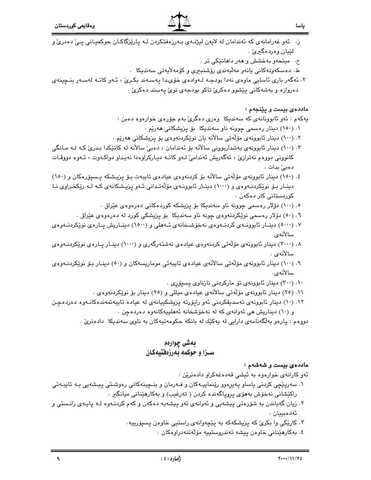- ز. ئەو غەرامانەي كە ئەندامان لە لايەن ليژنـەي بـەرزەفتكردن لـە پارێزگاكـان حوكميـانى پـێ دەدرێ و لٽيان ووردهگيرئ .
	- ح. مینحهو بهخشش و ههر داهاتێکی تر .
	- ط. دەسكەوتەكانى يانەو مەلبەندى رۆشنبېرى وكۆمەلايەتى سەندېكا .
- ۲. ئەگەر بارى ئاسايى ماوەي نەدا بودجـﻪ لـﻪوادەي خۆىـﺪا يەسـﻪند بكـﺮئ ، ئـﻪو كاتـﻪ لەسـﻪر بنـﭽينەي دهروازه و بهشهکانی پیشوو دهکریّ تاکو بودجهی نویّ پهسند دهکریّ .

ماددهى بيست و پێنجهم :

پهکهم : ئەو ئابوونانەي کە سەندىكا وەرى دەگرىٰ بەم جۆرەي خوارەوە دەبن :

- ۰. (۱۵۰) دینار رەسمی چوونه ناو سەندیکا بۆ یزیشکانی ھەریم .
- ۲. (۱۰۰) دینار ئابوونهی مۆلّەتى سالآنه یان نوێکردنهوەی بۆ یزیشکانی هەرێم .
- ۰۳ (۱۰۰) دینار ئابوونهی بهشداربوونی سالانه بۆ ئەندامان ، دەبیّ سالانه له کاتێکدا بـدریّ کـه لـه مـانگی کانووني دووهم نهترازيٰ ، ئەگەريش ئەندامىٰ لـهو کاتـه ديـارکراوەدا نەيـداو دواکـهوت ، ئـهوه دووقـات دەبىؒ بدات۔
- ٤. (١٥٠) دينار ئابوونهى مۆلەتى سالأنه بۆ كردنەوەي عيادەي تايبەت بـۆ يزيـشكه يـسيۆرەكان و (١٥٠) دینـار بـۆ نوێکردنـهوهی و (۱۰۰۰) دینـار ئابوونـهی مۆلّەتـدانی ئـهو پزیـشکانهی کـه لـه رێکخـراوی نـا کوردستانی کار دەکەن ٠
	- ۰. (۱۰۰) دۆلار رەسمى چوونە ناو سەندىكا بۆ يزيشكە كوردەكانى دەرەوەي عێراق .
	- ٦. (٥٠) دۆلار رەسمى نوێکردنەوەي چونە ناو سەندىكا بۆ يزيشكى كورد لە دەرەوەي عێراق .
- ۰۷ (۵۰۰۰) دینـار ئابوونــهی کردنــهوهی نهخوشــخانهی ئــههلی و (۱۵۰۰) دینــاریش پــارهی نوێکردنــهوهی سالأنهى
- ۰۸ (۳۰۰۰) دینار ئابوونهی مۆلّەتی کردنەوەی عیادەی نەشتەرگەری و (۱۰۰۰) دینـار پـارەی نوێکردنـەوەی سالأنەي .
- ۹. (۱۰۰) دینار ئابوونهی مۆلەتى سالانەی عیادەی تایبەتى موماریسەكان و (٥٠) دینـار بـۆ نوێكردنـەوەی سالأنەي.
	- ١٠. (٣٠٠) دينار ئابوونهى تۆ ماركردنى نازناوى يسيۆرى .
	- ۱۱. (۲۰) دینار ئابوونەی مۆلەتى سالأنەی عیادەی میللی و (۲۰) دینار بۆ نوێکردنەوەی .
- ۱۲. (۱۰) دینار ئابوونهی تهسدیقکردنی ئهو رایوّرته یزیشکییانهی له عیاده تایبهتمهندهکانـهوه دهردهچن و (۱۰) ديناريش هي ئەوانەي كە لە نەخۆشخانە ئەھلىيەكانەوە دەردەچن .

دووهم : پارهو بهلگهنامهی دارایی له پهکێك له بانکه حکومهتپهکان به ناوی سهندیکا دادهنریٰ .

# بەشى چوارەم سـزا و حوکمه بهرزهفتیهکان

ماددهي بيست و شهشهم :

ئەو كارانەي خوارەوە بە ئيشى قەدەغەكراو دادەنرين :

- ۰۱ سهریێچی کردنی یاساو پهیرهوو رێنماییـهکان و فـهرمان و بنـچینهکانی رهوشـتی پیـشهیی بـه تایبـهتی راكێشانی نەخۆش بەھۆی پروپاگەندە كردن ( تەرغیب) و بەكارھێنانی میانگیر .
- ۲. زیان گەیاندن بە شۆرەتى پیشەیی و ئەوانەی ئەو پیشەیە دەكەن و كەم كردنـەوە لـە پايـەی زانـستى و ئەدەبييان .
	- ۰۳ کارێِکی وا بکریّ که پزیشکهکه به پێچەوانەی راستپی خاوەن پسیۆرپیه.
		- ٤. بەكارھێنانى خاوەن ييشە تەندروستييە مۆڵەتنەدراوەكان .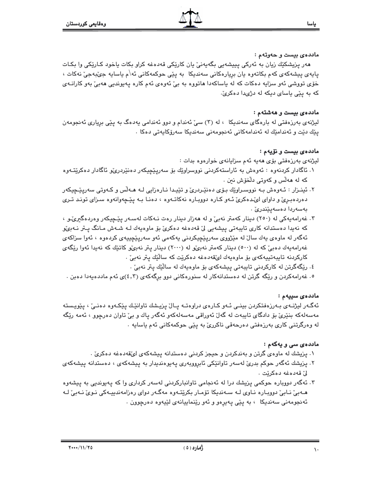#### ماددهي بيست و حەوتەم :

هەر پزیشکێك زیان بە ئەرکی پییشەیی بگەیەنیٚ یان کارێکی قەدەغە کراو بکات یاخود کـارێکی وا بکـات ياپەي پېشەكەي كەم بكاتەوە يان بريارەكانى سەندىكا بە پێى حوكمەكانى ئە\م ياساپە جىٚبەجىٚ نەكات ، خۆی تووشی ئەو سزایە دەكات كە لە ياساكەدا ھاتووە بە بىٰ ئەوەی ئەم كارە يەيوندىي ھەبىٰ بەو كارانــەی که به پێی یاسای دیکه له دژیدا دهکریّ.

#### ماددهى بيست و هەشتەم :

لیژنهی بهرزهفتی له بارهگای سهندیکا ، له (۳) سیّ ئهندام و دوو ئهندامی یهدهگ به پێی برِیاری ئهنجومهن پێك دێت و ئەندامێك لە ئەندامەكانى ئەنجومەنى سەندپكا سەرۆكاپەتى دەكا ٠

#### ماددهى بيست و نۆيەم :

لیژنهی بهرزهفتی بۆی ههیه ئهم سزایانهی خوارهوه بدات :

- ۱. ئاگادار کردنهوه : ئەوەش بە ئاراستەکردنى نووسراوێك بۆ سەرپێچيكەر دەنێردرێو ئاگادار دەکرێتـەوە که له ههڵس و کهوتی دلْخوش نين .
- ۲. ئينـزار : ئـهوهش بـه نووسـراوێِك بـۆی دەنێـردرێ و تێيـدا نـارەزايى لـه هـهڵس و كـهوتى سەريێـڃيكەر دهردهبری و داوای ای ده کری ٔ ـُـهو کـاره دووبـاره نهکاتـهوه ، دهنـا بـه پیچهوانهوه سـزای تونـد تـری بەسەردا دەسەيێندرێ .
- ۴. غەرامەيەكى لە (٢٥٠) دينار كەمتر نەبىؒ و لە ھەزار دينار رەت نـەكات لەسـەر يێـڃيكەر وەردەگىرىؒـو ، کە نەپدا دەستدانە کارى تايبەتى پيشەيى لىٰ قەدەغە دەكرىٰ بۆ ماوەپەك لـە شـەش مـانگ پـىتر نـەبى⁄و ئەگەر لە ماوەي يەك سالٌ لە مێژووي سەريێڃيكردنى يەكەمى ئەو سەريێڃييەي كردەوە ، ئەوا سزاكەي غەرامەپەك دەبى' كە لە (٥٠٠) دېنار كەمتر نەبىُھ لە (٢٠٠٠) دېنار يتر نەبىُھ كاتتك كە نەپدا ئەوا ريْگەي كاركردنه تايبەتييەكەي بۆ ماوەيەك لىڭقەدەغە دەكرێت كە سالێك يتر نەبىٚ .
	- ٤. رێۣگەگرتن لە كاركردنى تايبەتى ييشەكەي بۆ ماوەپەك لە سالّێك يتر نەبىٚ .
- ۰. غەرامەكردن و رێگە گرتن لە دەستدانەكار لە سنورەكانى دوو برگەكەي (٤,٣)ى ئەم ماددەيەدا دەبن .

#### ماددەى سىيەم :

ئەگـەر ليژنـەى بـەرزەفتكردن بينـى ئـەو كـارەى دراوەتـە پـالْ پزيـشك تاوانێـك پێكـەوە دەنـىْ ، پێويـستە مەسەلەكە بنێرێ بۆ دادگاى تايبەت لە گەلٚ ئەوراقى مەسەلەكەو ئەگەر ياك و بىٚ تاوان دەرچوو ، ئەمە رێگە له وەرگرتنى كارى بەرزەڧتى دەرحەقى ناكررىّ بە يێى حوكمەكانى ئەم ياسايە .

#### مادده ی سی و یه که م :

- ۱. پزیشك له ماوهى گرتن و بهندكردن و حیجز كردنى دهستدانه پیشهكهى لىّقهدهغه دهكرىّ .
- ۲. پزیشك ئەگەر حوكم بدرئ لەسەر تاوانێكى ئابرووبەرى پەيوەندىدار بە پیشەكەی ، دەستدانە پیشەكەی لىٰ قەدەغە دەكرنت .
- ۳. ئەگەر دووبارە حوكمى پزیشك درا لە ئەنجامى تاوانباركردنى لەسەر كردارى وا كە پەيوندىي بە پیشەوە هـﻪبیٚ نـﺎبیٚ دووبـاره نـﺎوی لـﻪ سـﻪندیکا تۆمـار بکرێتـﻪوه مهگـﻪر دوای رەزامەندییـﻪکی نـﻮیٚ نـﻪبیٚ لـﻪ ئەنجومەنى سەندىكا ، بە يێى يەيرەو و ئەو رێنماييانەى لێيەوە دەرچوون .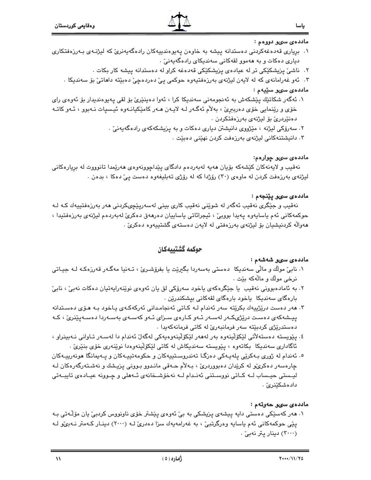

#### ماددە*ى سىق* دوۋەم :

ياسا

- ۰۱ بریاری قەدەغەكردنى دەستدانە ييشە بە خاوەن يەيوەندىيەكان رادەگەيەنرى كە ليژنىەی بەرزەفتكارى دياری دهکات و به ههموو لقهکانی سهنديکای رادهگهيهنیّ .
	- ۲. ناشیٌ پزیشکێکی تر له عیادهی پزیشکێکی قهدهغه کراو له دهستدانه پیشه کار بکات .
	- ۴. ئەو غەرامانەي كە لە لايەن ليژنەي بەرزەفتيەوە حوكمى يىّ دەردەچىّ دەبێتە داھاتىّ بۆ سەنديكا ٠

## ماددهى سىو سێپەم :

- ۱. ئەگەر شكاتێك پێشكەش بە ئەنجومەنى سەندىكا كرا ، ئەوا دەينێرێ بۆ لقى پەيوەندىدار بۆ ئەوەي راي خۆی و رێنمايي خۆی دەربېرێ ، بەلأم ئەگـەر لـﻪ لايـەن ھـﻪر كامێكيانـﻪوە ئيـسيات نـﻪبوو ، ئـﻪو كاتـﻪ دەنێردرێ بۆ لیژنەی بەرزەڧتكردن .
	- ۲. سەرۆكى ليژنە ، مێژووى دانىشتن ديارى دەكات و بە يزيشكەكەي رادەگەيەنى، .
		- ۰۳ دانیشتنهکانی لیژنهی بهرزهفت کردن نهێنی دهبێت

# ماددە*ى سى*و چوارەم:

نهقیب و لایهنهکان کَیْشْهکه بۆیان هەیە لەبەردەم دادگای پیْداچوونەوەی هەریْمدا تانوووت لە برِیارەکانی لیژنهی بهرزهفت کردن له ماوهی (۳۰) رۆژدا که له رۆژی تهبلیغهوه دهست یئ دهکا ، بدهن .

# ماددەي سى يېنجەم:

نەقيب و جٽگري نەقيب ئەگەر لە شوێني نەقيب كارى بيني لەسەر<u>يٽجى</u>كردني ھەر بەرزەفتييەك كـﻪ لـﻪ حوكمەكانى ئەم ياسايەوە يەيدا بووبى ، ئيجرائاتى ياساييان دەرھەق دەكرى لەبەردەم ليژنەي بەرزەفتيدا ، هەوالّە كردنيشيان بۆ ليژنەي بەرزەفتى لە لايەن دەستەي گشتييەوە دەكرىّ .

# حوكمه گشتىىەكان

# ماددەي سىق شەشەم :

- ۰۱ نابیؒ مولَّك و مالّی سەندیکا دەستی بەسەردا بگیری٘ت یا بفرۆشىریؒ ، تـەنیا مەگـەر قەرزەکـە لـە جیـاتی نرخي مولّك و مالّهكه بيّت ٠
- ٢. به ئامادەبوونى نەقيب يا جێگرەكەي ياخود سەرۆكى لق يان ئەوەي نوێنەرايەتيان دەكات نەبى ، نابى ّ بارەگای سەندىكا پاخود بارەگای لقەكانى بېشكندرێن .
- ۳. هەر دەست درێژپيەك بكرێتە سەر ئەندام لـه كـاتى ئەنجامـدانى ئەركەكـەى پـاخود بـه هـۆى دەسـتدانە ییـشهکهی دهسـت درێژیکـهر لهسـهر ئـهو کـارهی سـزای ئـهو کهسـهی بهسـهردا دهسـهپێنریٚ ، کـه دەستدرێژى كردېێتە سەر فرمانبەرێ لە كاتى فرمانەكەپدا .
- ٤. پێویسته دەستەلأتى لێکۆڵێنەوە بەر لەھەر لێکۆڵێنەوەپەکى لەگەلٚ ئەندام دا لەسـەر تـاوانى نـەبينراو ، ئاگاداری سەندیکا بکاتەوە ، يێويستە سەندیکاش لە کاتی لێکۆڵینەوەدا نوێنەری خۆی بنێری٘ .
- ۰۵ ئەندام لە ژورى بـﻪكرێي پلەپـﻪكى دەزگـﺎ تەندروسىتپپەكان و حكومەتپپـﻪكان و پـﻪپمانگا ھونەرپپـﻪكان چارهسەر دەكرى،و لە كريدان دەبووردرى ، بـﻪلأم حـﻪقى مانـدوو بـوونى يزيـشك و نەشـتەرگەرەكان لـﻪ ليــستى حيــساب لــه كــاتى نووســتنى ئەنــدام لــه نەخۆشــخانەی ئــهملى و چــوونه عيــادەی تايبــەتى دادەشك<u>ت</u>نرى*ن* .

# ماددەى سىق خەرتەم :

۱. هەر كەسێكى دەستى دايە پيشەي پزيشكى بە بى ئەوەي پێشتر خۆي ناونووس كردېئ يان مۆڵەتى بـە پێی حوکمهکانی ئهم یاسایه وهرگرتبیّ ، به غهرامهپهك سزا دهدریّ لـه (۲۰۰۰) دینـار کـهمتر نـهبیّو لـه (٣٠٠٠) دينار يتر نهبيّ .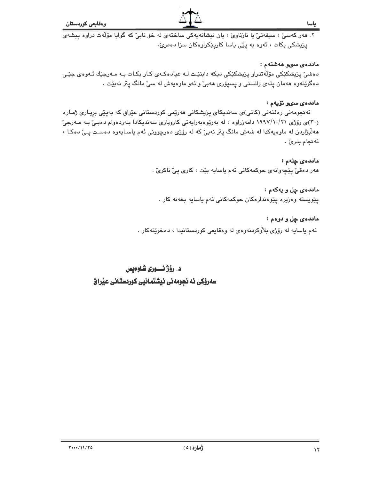٢. هەر كەسىٰ ، سيفەتىٰ يا نازناوىٰ ، يان نيشانەيەكى ساختەي لە خۆ نابىٰ كە گوايا مۆلەت دراوە ييشەي پزیشکی بکات ، ئەوە بە پێی یاسا کارپێکراوەکان سزا دەدریؒ.

### ماددەى سىق ھەشتەم :

دەشىٰ پزيشكێكى مۆڵەتدراو پزيشكێكى دىكە دابنێت لـه عيادەكـەي كـار بكـات بـه مـەرجێك ئـەوەي جێـى دهگرێتەوه ھەمان پلەي زانستى و پسپۆرى ھەبى و ئەو ماوەپەش لە سى مانگ پتر نەبێت .

### ماددەي سىق ئۆيەم :

ئەنجومەنى رەڧتەنى (كاتى)ى سەندىكاي يزيشكانى ھەرێمى كوردستانى عێراق كە بەيێى بريـارى ژمـارە (۳۰)ی رۆژی ۱۹۹۷/۱۰/۲۱ دامەزراوه ، له بەرێوەبەرايەتی کاروباری سەندیکادا بـەردەوام دەبـیٚ بـه مـەرجیٚ ههلّبژاردن له ماوهیهکدا له شهش مانگ پتر نهبیٌ که له رۆژی دهرچوونی ئهم یاسـایهوه دهسـت پـیٌ دهکـا ، ئەنجام بدرئ .

## ماددەى چلەم :

هەر دەقىٚ پێچەوانەی حوكمەكانى ئەم ياسايە بێت ، كارى پىٚ ناكرىؒ .

# ماددهى چل و يهكهم :

يێويسته وەزيرە يێوەندارەكان حوكمەكانى ئەم ياسايە بخەنە كار .

## ماددهى چل و دوهم :

ئهم ياسايه له رۆژى بلاوكردنەوەي لە وەقايعى كوردستانيدا ، دەخرێتەكار .

# د. رۆژ نسورى شاوەيس

# سەرۆكى ئە نجومەنى نيشتمانيى كوردستانى عيراق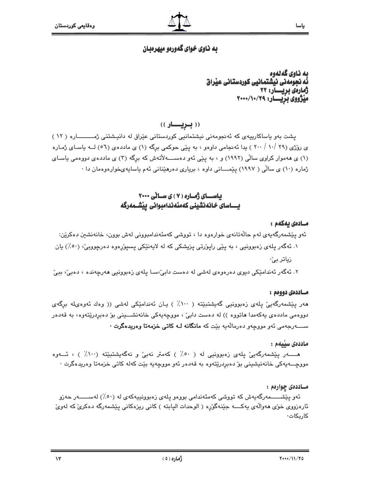# به ناوي خواي گهورهو ميهرهبان

به ناوي گەلەوە نُه نجومهنی نیشتمانیی کوردستانی عیداق ژمارەي بريسار: ٢٢ میژووی بزیسار: ٧٩/١٠/٢٠٠٠

((بريسار))

پشت بهو یاساکارییهی که ئهنجومهنی نیشتمانیی کوردستانی عیّراق له دانیشتنی ژمــــــاره ( ١٢ ) ی روزی (۲۹ /۱۰ / ۲۰۰ ) یدا ئەنجامی داوەو ، به پێی حوکمی برگه (۱) ی ماددەی (۵٦) لــه یاسـای ژمـاره (۱) ی ههموار کراوی سالی (۱۹۹۲) و ، به پێی ئهو دهســــهلأتهش که برگه (۳) ی مادده ی دووهمی یاسـای ژماره (۱۰) ی سالّی ( ۱۹۹۷) پێمــــانی داوه ، بریاری دهرهێنانی ئهم یاسایهیخوارهوهمان دا ۰

# باسـای ژماره ( ۷ ) ی سالی ۲۰۰۰

#### مسادەى يەكەم :

ئەو يێشمەرگەيەي لەم حالّەتانەي خوارەوە دا ، تووشى كەمئەندامبوونى لەش بوون، خانەنشىن دەكرێن: ۰۱ ئهگەر پلەي زەبوونيى ، بە پێى راپۆرتى پزيشكى كە لە لايەنێكى پسپۆرەوە دەرچووبى، (٥٠٪) يان زیاتر بیُ۰

۲. ئەگەر ئەندامێکى ديوى دەرەوەى لەشى لە دەست دابىؒ،سـا پلەى زەبورنيى ھەرچەندە ، دەبىؒ، ببىؒ

### مساددهۍ دوومم :

هەر يَيْشمەرگەييٌ يلەي زەبوونيى گەيشتېيْتە ( ١٠٠٪ ) يان ئەندامێکى لەشى (( وەك ئەوەيلە برگەي دووهمي ماددهي پهکهمدا هاتووه )) له دهست دابيّ ، مووچهپهکي خانهنشـــيني بوّ دهبردريّتهوه، به قهدهر 

#### ماددەي سىيەم :

هـــــــــــــور يێشمهرگهيێ يلهى زەبوونيى له ( ٥٠٪ ) كهمتر نهبیٚ و نهگهيشتبێته (١٠٠٪ ) ، ئـــــهوه مووچــــەيەكى خانەنيشىنى بۆ دەبردرێتەوە بە قەدەر ئەو مووچەيە بێت كەلە كاتى خزمەتا وەريدەگرت ·

### مــاددهۍ چوارهم :

ئەو يێشــــــمەرگەيەش كە تووشى كەمئەندامى بووەو يلەي زەبوونييەكەي لە (٥٠٪) لەســـــــەر حەزو کاربکات∙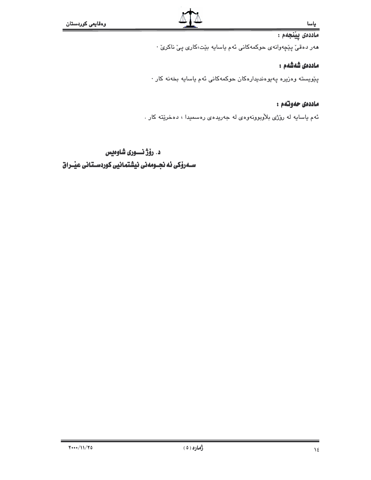# ماددەى يېنجەم :

هەر دەقىؒ پێچەوانەی حوکمەکانى ئەم ياسايە بێت،کاری پیؒ ناکریؒ ٠

# ماددەى شەشەم :

پێویسته وهزیره پهیوهندیدارهکان حوکمهکانی ئهم یاسایه بخهنه کار ۰

# ماددەى حەوتتەم :

ئهم یاسایه له روّژی بلاّوبوونهوهی له جهریدهی رهسمیدا ، دهخریّته کار .

# د. رۆژ نسورى شاوەيس

 $Y$  ... / 11/70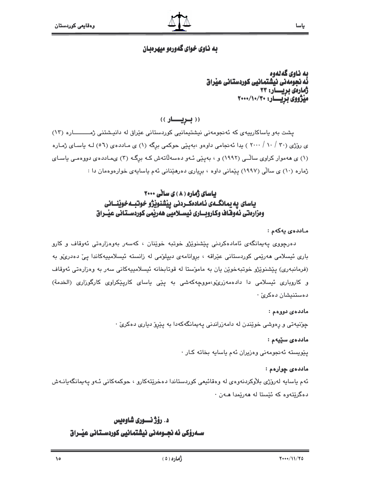# به ناوي خواي گهورهو ميهرهبان

به ناوی گەلەوە<br>ئە نجومەنى نيشتمانيى كوردستانى عيداق ژمارەي بريسار: ۲۳ مَیْژُووی بِزْیِـــار: ۲۰۰۰/۱۰/۳۰

((بريسار))

یشت بهو یاساکارییهی که ئه نجومهنی نیشتیمانیی کوردستانی عیّراق له دانیشتنی ژمـــــاره (١٣) ی روزی (۳۰ / ۱۰ / ۲۰۰۰ ) یدا ئه نجامی داوهو ،بهینی حوکمی برگه (۱) ی مـاددهی (۵٦) لـه یاسـای ژمـاره (۱) ی ههموار کراوی سالّـی (۱۹۹۲) و ، بهپیّی ئـهو دهسهلاتهش کـه برگـه (۲) یماددهی دووهمـی یاسـای ژماره (١٠) ی سالّی (١٩٩٧) پیّمانی داوه ، بریاری دهرهیدانی ئهم یاسایهی خوارهوهمان دا :

# باسای ژماره ( ۸ ) ی سانی ۲۰۰۰ ياسای يه يمانگــهی ئـامادهکــردنی ييشنويژو خوتبــهخوينـــانی ومزارهتى نهوفناف وكاروبسارى نيسسلاميى ههريمى كوردسستانى عيسراق

### ماددەي يەكەم :

دەرچووى پەيمانگەى ئامادەكردنى پێشنوێژو خوتبە خوێنان ، كەسەر بەوەزارەتى ئەوقاف و كارو باری ئیسلامی ھەرپمی کوردستانی عیّراقه ، بروانامەی دییلوّمی له زانسته ئیسلامییهکاندا ییّ دەدریّو به (فرمانبەری) يێشنوێژو خوتبەخوێن يان بە مامۆستا لە قوتابخانە ئیسلامییەکانی سەر بە وەزارەتی ئەوقاف و کاروباری ئیسلامی دا دادهمەزری،ومووچەکەشى بە يێى ياسای کاریێکراوی کارگوزاری (الخدمة) دەستنيشان دەكرى*ن* ·

### ماددەي دورەم :

چۆنيەتى و رەوشى خوێندن لە دامەزراندنى پەيمانگەكەدا بە پێرۆ ديارى دەكرىّ ٠

#### ماددەى سۆيەم:

پێویسته ئەنجومەنی وەزیران ئەم یاسایە بخاتە کار ٠

### ماددهى چوارمم :

ئەم باسابە لەرۆژى بلاوكردنەوەي لە وەقائىعى كوردستاندا دەخرێتەكارو ، حوكمەكانى ئـەو بـەيمانگەبانـەش دهگريٽهوه که ئيستا له ههريمدا هـهن ٠

# د. رؤژنسوري شاوهيس سـەرۆكى ئە نجـومەنى نيشتمانيى كوردسـتانى عيْـراق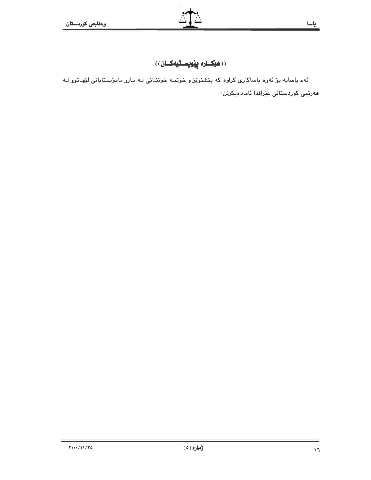# ((هۆكسارە پيويسىتيەكسان))

ئهم ياسايه بۆ ئەوه ياساكارى كراوه كه پێشنوێژ و خوتبـه خوێنـانى لـه بـارو مامۆسـتايانى لێهـاتوو لـه ھەر<u>ٽ</u>مى كوردستانى ع<u>ٽ</u>راقدا ئامادەبكرێن٠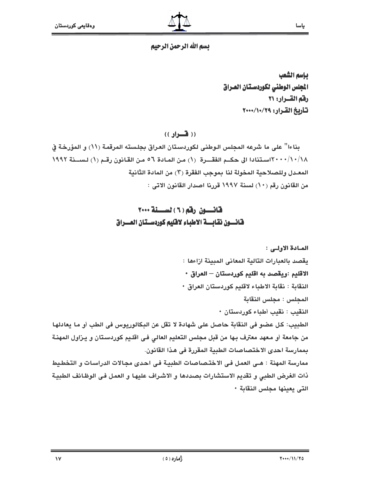# يسم الله الرحمن الرحيم

بإسم الشعب المجلس الوطنى لكوردستان العراق رفم القسرار: ٢١ تأريخ القرار: ٧٩/١٠/٢٠٠٠

 $((\nightharpoonup\mathbf{L})$ 

بناءا" على ما شرعه المحلس الـوطني لكوردستان العراق بجلسته المرقمة (١١) و المؤرخة في ١/٠/١٨/١٤٠٠٧استنادا الى حكـم الفقـــرة (١) من المـادة ٥٦ مـن القـانون رقـم (١) لـســنة ١٩٩٢ المعـدل وللصـلاحية المخولة لنا بموجب الفقرة (٣) من المادة الثانية من القانون رقم (١٠) لسنة ١٩٩٧ قررنا اصدار القانون الاتي :

# قانسون رقم (٦) لسنة ٢٠٠٠ فانسون نقابسة الاطياء لاقليم كوردستان العسراق

الميادة الأولى : يقصد بالعبارات التالية المعاني المبينة ازاءها : الاقليم :ويقصد به اقليم كوردستان – العراق • النقابة : نقابة الاطباء لاقليم كوردستان العراق • المحلس : مجلس النقابة النقيب : نقيب أطباء كوردستان • الطبيب: كل عضو في النقابة حاصل على شهادة لا تقل عن البكالوريوس في الطب أو ما يعادلها من جامعة أو معهد معترف بـها من قبل مجلس التعليم العالي فـي اقلـيم كوردسـتان و يـزاول المهنـة بممارسة احدى الاختصاصات الطبية المقررة في هذا القانون. ممارسة المهنة : هـى العمل فـى الاختـصاصات الطبيـة فـى احدى مجـالات الدراسـات و التخطيط ذات الغرض الطبي و تقديم الاستشارات بصددها و الاشراف عليها و العمل في الوظائف الطبية التي بعينها مجلس النقابة •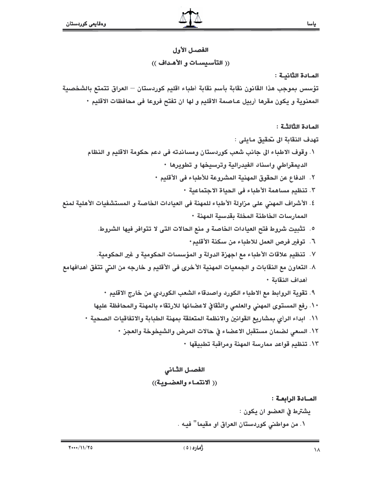# الفصيل الأول (( التأسيسات و الأهداف ))

## المادة الثانية :

تؤسس بموجب هذا القانون نقابة بأسم نقابة أطباء اقليم كوردستان — العراق تتمتع بالشخصية المعنوية و يكون مقرها أربيل عـاصمة الاقليم و لها ان تفتح فروعا في محافظات الاقليم •

المادة الثالثـة :

- تهدف النقابة الى تحقيق مايلي : ١. وقوف الاطباء الى جانب شعب كوردستان ومساندته في دعم حكومة الاقليم و النظام الديمقراطي واسناد الفيدرالية وترسيخها و تطويرها •
	- ٢. الدفاع عن الحقوق المهنية المشروعة للأطباء في الأقليم
		- ٢. تنظيم مساهمة الأطباء في الحياة الاجتماعية ٠
- ٤. الأشراف المهني على مزاولة الأطباء للمهنة في العيادات الخاصة و المستشفيات الأهلية لمنع الممارسات الخاطئة المخلة بقدسية المهنة ٠
	- ٥. تثبيت شروط فتح العيادات الخاصة و منع الحالات التي لا تتوافر فيها الشروط.
		- ٦. توفير فرص العمل للاطباء من سكنة الأقليم٠
	- ٧. تنظيم علاقات الأطباء مع اجهزة الدولة و المؤسسات الحكومية و غير الحكومية.
- ٨. التعاون مع النقابات و الجمعيات المهنية الأخرى في الأقليم و خارجه من التي تتفق أهدافهامع أهداف النقابة ٠
	- ٩. تقوية الروابط مع الاطباء الكورد واصدقاء الشعب الكوردي من خارج الاقليم ٠
	- ١٠. رفع المستوى المهنى والعلمى والثقافي لاعضائها للارتقاء بالمهنة والمحافظة عليها
	- ١١. ابداء الرأى بمشاريع القوانين والانظمة المتعلقة بمهنة الطبابة والاتفاقيات الصحية ٠
		- ١٢. السعى لضمان مستقبل الاعضاء في حالات المرض والشيخوخة والعجز ٠
			- ١٣. تنظيم قواعد ممارسة المهنة ومراقبة تطبيقها ٠

الفصىل الثانى

(( ألانتماء والعضوية))

المــادة الرابعــة :

يشترط في العضبو ان يكون : ١. من مواطني كوردستان العراق او مقيما" فيه .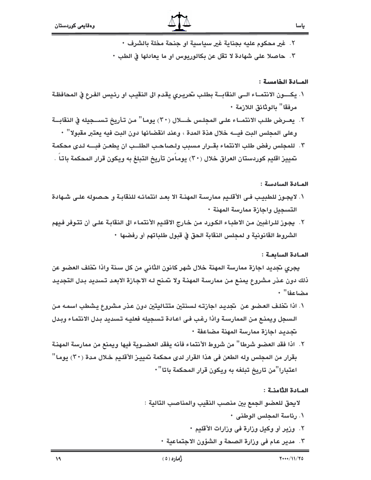- ٢. غير محكوم عليه بجناية غير سياسية او جنحة مخلة بالشرف ٠
- ٣. حاصلا على شهادة لا تقل عن بكالوريوس او ما يعادلها في الطب •

#### المادة الخامسة :

- ١. يكــــون الانتمــاء الــى النقابـــة بطلـب تحريـرى يقدم الى النقيب او رئـيس الفـرع في المحافظـة مرفقا" بالوثائق اللازمة •
- ٢. يعــرض طلـب الانتمــاء علـى المجلـس خــــلال (٣٠) يومـا" مـن تـأريخ تـســجيله في النقابـــة وعلى المجلس البت فيــــه خلال هذة المدة ، وعند انقضائها دون البت فيه يعتبر مقبولا'' •
- ٣. للمجلس رفض طلب الانتماء بقــرار مسبب ولـصاحـب الطلــب ان يطعـن فبــــه لـدى محكمـة تمييز اقليم كوردستان العراق خلال (٣٠) يومامن تأريخ التبلغ به ويكون قرار المحكمة باتا .

#### المادة السادسة :

- ١. لايجـوز للطبيـب فـي الأقلـيم ممارسـة المهنـة الا بعـد انتمائـه للنقابـة و حـصوله علـي شـهادة التسجيل واجازة ممارسة المهنة •
- ٢. يجوز للـراغبين من الاطبـاء الكـورد من خـارج الاقلـيم الأنتمـاء الى النقابـة علـي أن تتـوفر فـيهم الشروط القانونية و لمجلس النقابة الحق في قبول طلباتهم أو رفضها ٠

#### المادة السابعة :

يجري تجديد اجازة ممارسة المهنة خلال شهر كانون الثاني من كل سنة واذا تخلف العضو عن ذلك دون عذر مشروع يمنـع مـن ممارسـة المهنـة ولا تمـنح لـه الاجـازة الابعـد تـسديد بـدل التجديـد مضاعفا" ٠

- السجل ويمنع من الممارسة واذا رغب في اعادة تسجيله فعليه تسديد بدل الانتماء وبدل نجديد اجازة ممارسة المهنة مضاعفة •
- ٢. اذا فقد العضو شرطا " من شروط الأنتماء فأنه يفقد العضــوية فيها ويمنع من ممارسة المهنـة بقرار من المحلس وله الطعن في هذا القرار لدى محكمة تمييـز الأقلـيم خـلال مـدة (٣٠) يومـا" اعتبارا"من تاريخ تبلغه به ويكون قرار المحكمة باتا"٠

#### المادة الثامنة :

لايحق للعضو الجمع بين منصب النقيب والمناصب التالية :

- \. رئاسة المحلس الوطني +
- ٢. وزير أو وكيل وزارة في وزارات الأقليم •
- ٣. مدير عـام في وزارة الصـحة و الشؤون الاجتماعية ٠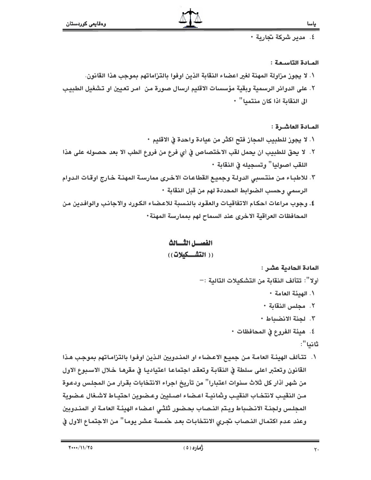٤. مدير شركة تجارية •

### المادة التاسعة :

- ١. لا يجوز مزاولة المهنة لغير اعضاء النقابة الذين اوفوا بالتزاماتهم بموجب هذا القانون.
- ٢. على الدوائر الرسمية وبقية مؤسسات الاقليم ارسال صورة من امر تعيين او تـشغيل الطبيب الى النقاية اذا كان منتميا" •

# المادة العاشرة :

- ١. لا يجوز للطبيب المجاز فتح اكثر من عيادة واحدة في الاقليم ٠
- ٢. لا يحق للطبيب ان يحمل لقب الاختصاص في أي فرع من فروع الطب الا بعد حصوله على هذا اللقب اصوليا" وتسجيله في النقابة •
- ٣. للاطباء من منتسبي الدولـة وجميـع القطاعـات الاخـرى ممارسـة المهنـة خـارج اوقـات الـدوام الرسمي وحسب الضوابط المحددة لهم من قبل النقابة •
- ٤. وجوب مراعات احكام الاتفاقيات والعقود بالنسبة للاعضاء الكورد والاجانب والوافدين من المحافظات العراقية الاخرى عند السماح لهم بممارسة المهنة ·

# الفصسل الثسسالث

# (( التشـــكيلات))

# المادة الحادية عشر :

- أولا'': تتألف النقابة من التشكيلات التالية :—
	- \ . الهدئة العامة ·
	- ٢. مجلس النقابة ٠
	- ٣. لجنة الانضباط ٠
	- ٤. هيئة الفروع في المحافظات •

# ثانيا":

١. تتألف الهيئـة العامـة مـن جميـع الاعـضـاء او المنـدوبين الـذين اوفـوا بالتـزامـاتهم بموجب هـذا القانون وتعتبر اعلى سلطة في النقابة وتعقد اجتماعا اعتياديا في مقرها خلال الاسبوع الاول من شهر أذار كل ثلاث سنوات اعتبارا'' من تأريخ اجراء الانتخابات بقرار من المجلس ودعوة من النقيب لانتخاب النقيب وثمانيـة اعـضاء اصـليين وعـضوين احتيـاط لاشـغال عـضوية المجلس ولجنـة الانـضباط ويـتم النـصاب بحـضور ثلثـى اعـضاء الهيئـة العامـة او المنـدوبين وعند عدم اكتمال النـصاب تجـري الانتخابـات بعد حمسة عشر يومـا" مـن الاجتمـاع الاول في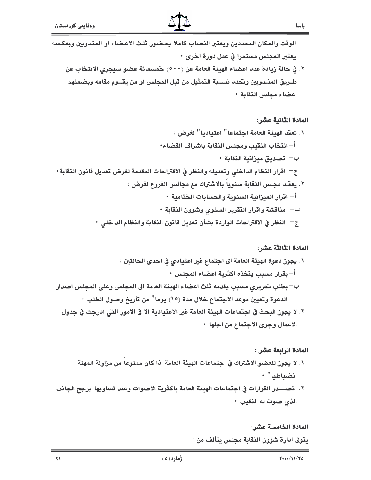الوقت والمكان المحددين ويعتبر النصاب كاملا بحضور ثلث الاعضاء او المندوبين وبعكسه يعتبر المجلس مستمرا في عمل دورة اخرى ٠

٢. في حالة زيادة عدد اعضاء الهيئة العامة عن (٥٠٠) حمسمائة عضو سيجرى الانتخاب عن طـريق المنـدوبين وتحدد نســبة التمثيل من قبل المحلس او من يقــوم مقامه وبضمنهم اعضاء محلس النقابة •

#### المادة الثانية عشر:

ياسا

١. تعقد الهيئة العامة اجتماعا" اعتياديا" لغرض : أ– انتخاب النقيب ومجلس النقابة باشراف القضاء٠ ب— تصديق ميزانية النقابة • ج– اقرار النظام الداخلي وتعديله والنظر في الاقتراحات المقدمة لغرض تعديل قانون النقابة• ٢. يعقد مجلس النقابة سنوياً بالاشتراك مع مجالس الفروع لغرض : أ– اقرار المبزانية السنوية والحسابات الختامية • ب— مناقشة واقرار التقرير السنوى وشؤون النقابة • ج– النظر في الاقتراحات الواردة بشأن تعديل قانون النقابة والنظام الداخلي •

### المادة الثالثة عشر :

٢. لا يجوز البحث في اجتماعات الهيئة العامة غير الاعتيادية الا في الامور التي ادرجت في جدول الاعمال وجرى الاجتماع من اجلها •

### المادة الرابعة عشر :

- ١. لا يجوز للعضو الاشتراك في اجتماعات الهيئة العامة اذا كان ممنوعا من مزاولة المهنة انضياطيا" +
- ٢. تصــــدر القرارات في اجتماعات الهيئة العامة باكثرية الاصوات وعند تساويها يرجح الجانب الذي صوت له النقيب •

#### المادة الخامسة عشر:

يتولى ادارة شؤون النقابة مجلس يتألف من :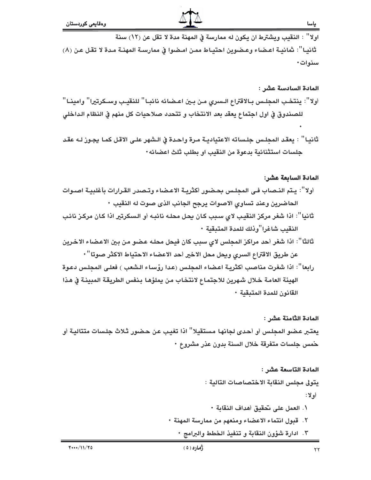اولا" : النقيب ويشترط ان يكون له ممارسة في المهنة مدة لا تقل عن (١٢) سنة ثانيـا": ثمانيـة اعـضاء وعـضوين احتيـاط ممـن امـضوا في ممارسـة المهنـة مـدة لا تقـل عـن (٨) سنوات٠

#### المادة السادسة عشر :

- أولا'': ينتخب المجلس بـالاقتراع الـسرى مـن بـين اعـضائه نائبـا'' للنقيـب وسـكرتيرا'' وامينـا'' للصندوق في اول اجتماع يعقد بعد الانتخاب و تتحدد صلاحيات كل منهم في النظام الداخلي
- ثانيـا" : يعقد المجلـس جلـساته الاعتياديـة مـرة واحـدة في الـشهر علـي الاقـل كمـا يجـوز لـه عقـد جلسات استثنائية بدعوة من النقيب او بطلب ثلث اعضائه٠

#### المادة السابعة عشر:

- أولا'': يـتم النـصاب فـي المجلـس بحـضور أكثريـة الاعـضاء وتـصدر القـرارات بأغلبيـة اصـوات الحاضرين وعند تساوى الاصوات يرجح الجانب الذي صوت له النقيب •
- ثانيا": اذا شغر مركز النقيب لاي سبب كان يحل محلـه نائبـه أو الـسكرتير اذا كـان مركـز نائب النقيب شاغرا"وذلك للمدة المتبقية ٠
- ثالثا": اذا شغر أحد مراكز المجلس لاى سبب كان فيحل محله عضو من بين الاعضاء الاخرين عن طريق الاقتراع السرى ويحل محل الاخير أحد الاعضاء الاحتياط الاكثر صوتا" ·
- رابعا": اذا شغرت مناصب أكثرية اعضاء المحلس (عدا رؤساء الشعب ) فعلي المحلس دعوة الهيئة العامة خلال شهرين للاجتماع لانتخاب من يملؤها بنفس الطريقة المبينة في هذا القانون للمدة المتبقية •

### المادة الثامنة عشر :

يعتبر عضو المجلس أو أحدى لجانها مستقيلا" اذا تغيب عن حضور ثلاث جلسات متتالية أو خمس جلسات متفرقة خلال السنة بدون عذر مشروع •

# المادة التاسعة عشر :

يتولى مجلس النقابة الاختصاصات التالية : أولا : ١. العمل على نحقيق أهداف النقابة ٠ ٢. قبول انتماء الاعضاء ومنعهم من ممارسة المهنة ٠

٣. ادارة شؤون النقابة و تنفيذ الخطط والبرامج ٠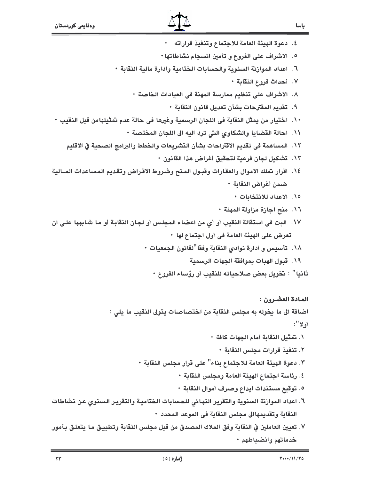٤. دعوة الهيئة العامة للاجتماع وتنفيذ قراراته • ٥. الاشراف على الفروع و تأمين انسجام نشاطاتها • ٦. اعداد الموارنة السنوية والحسابات الختامية وادارة مالية النقابة ٠ ٧. أحداث فروع النقابة ٠ ٨. الاشراف على تنظيم ممارسة المهنة في العيادات الخاصة ٠ ٩. تقديم المقترحات بشأن تعديل قانون النقابة • ١٠. اختيار من يمثل النقابة في اللجان الرسمية وغيرها في حالة عدم تمثيلهامن قبل النقيب ٠ ١١. احالة القضايا والشكاوى التي ترد اليه الى اللجان المختصة ٠ ١٢. المساهمة في تقديم الاقتراحات بشأن التشريعات والخطط والبرامج الصحية في الاقليم ١٣. تشكيل لجان فرعية لتحقيق أغراض هذا القانون ٠ ١٤. اقرار نملك الاموال والعقارات وقبـول المـنح وشـروط الاقـراض وتقديم المساعدات المــالية ضمن أغراض النقابة • ١٥. الاعداد للانتخابات ٠ ١٦. منح اجازة مزاولة المهنة • ١٧. البت في استقالة النقيب أو أي من اعضاء المجلس أو لجان النقابة أو ما شابهها على ان تعرض على الهيئة العامة في أول اجتماع لها • ١٨. تأسيس و أدارة نوادي النقابة وفقا "لقانون الجمعيات ٠ ١٩. قبول الهبات بموافقة الجهات الرسمية ثانيا" : تخويل بعض صلاحياته للنقيب أو رؤساء الفروع • المادة العشرون : اضافة الى ما يخوله به مجلس النقابة من اختصاصات يتولى النقيب ما يلي : أو لا ": ١. تمثيل النقابة أمام الجهات كافة ٠ ٢. تنفيذ قرارات مجلس النقابة ٠ ٣. دعوة الهيئة العامة للاجتماع بناء'' على قرار مجلس النقابة ٠ ٤. رئاسة اجتماع الهيئة العامة ومجلس النقابة ٠ ٥. توقيع مستندات ايداع وصرف أموال النقابة ٠

- ٦. اعداد الموازنة السنوية والتقرير النهائي للحسابات الختامية والتقرير السنوى عن نشاطات النقابة وتقديمهاالى مجلس النقابة في الموعد المحدد •
- ٧. تعيين العاملين في النقابة وفق الملاك المصدق من قبل مجلس النقابة وتطبيق ما يتعلق بأمور خدماتهم وانضباطهم •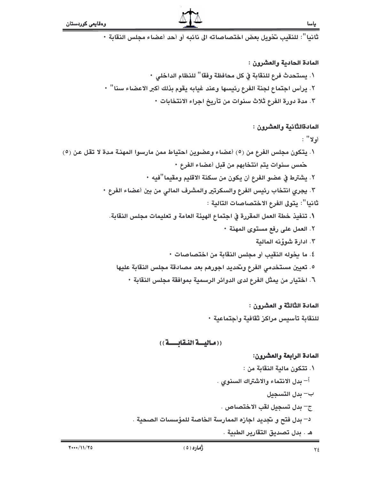ثانيا": للنقيب تخويل بعض اختصاصاته الى نائبه أو أحد أعضاء مجلس النقابة •

#### المادة الحادية والعشرون :

\ . يستحدث فرع للنقابة في كل محافظة وفقا<sup>''</sup> للنظام الداخلى • ٢. يرأس اجتماع لجنة الفرع رئيسها وعند غيابه يقوم بذلك أكبر الاعضاء سنا" ٠ ٢. مدة دورة الفرع ثلاث سنوات من تأريخ اجراء الانتخابات ٠

### المادةالثَّانية والعشرون :

### أولا" :

- ١. يتكون مجلس الفرع من (٥) أعضاء وعضوين احتياط ممن مارسوا المهنـة مدة لا تقل عن (٥) خمس سنوات يتم انتخابهم من قبل أعضاء الفرع •
	- ٢. يشترط في عضو الفرع أن يكون من سكنة الاقليم ومقيما "فيه ٠
	- ٣. يجرى انتخاب رئيس الفرع والسكرتير والمشرف المالى من بين أعضاء الفرع ٠ ثانيا": يتولى الفرع الاختصاصات التالية :
		- ١. تنفيذ خطة العمل المقررة في اجتماع الهيئة العامة و تعليمات مجلس النقابة.
			- ٢. العمل على رفع مستوى المهنة ٠
			- ٣. ادارة شوؤنه المالية ٤. ما يخوله النقيب أو مجلس النقابة من اختصاصات ٠
			- ٥. تعيين مستخدمي الفرع وتحديد اجورهم بعد مصادقة مجلس النقابة عليها
				- ٦. اختيار من يمثل الفرع لدى الدوائر الرسمية بموافقة مجلس النقابة ٠

# المادة الثَّالثَّة و العشرون : للنقابة تأسيس مراكز ثقافية وأجتماعية •

# ((مالية النقابسة))

# المادة الرابعة والعشرون:

١. تتكون مالية النقابة من : أ– بدل الانتماء والاشتراك السنوى . ب– بدل التسجيل ج– بدل تسجيل لقب الاختصاص . د– بدل فتح و تجديد اجازه الممارسة الخاصة للمؤسسات الصحية . هـ . بدل تصديق التقارير الطبية .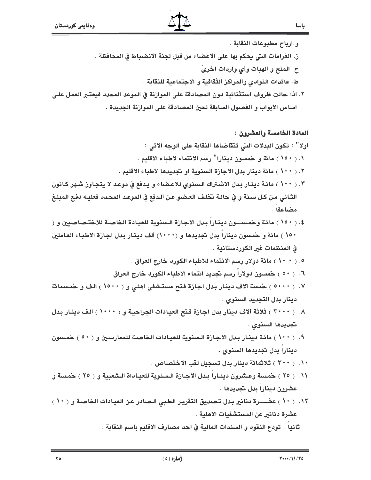و.ارباح مطبوعات النقابة .

ز. الغرامات التي يحكم بها على الاعضاء من قبل لجنة الانضباط في المحافظة .

ح. المنح و الهبات وأي واردات اخرى .

ط. عائدات النوادي والمراكز الثقافية و الاجتماعية للنقابة .

٢. اذا حالت ظروف استثنائية دون المصادقة على الموارنة في الموعد المحدد فيعتبر العمل على اساس الابواب و الفصول السابقة لحين المصادقة على الموارنة الجديدة .

المادة الخامسة والعشرون :

ياسا

اولا" : تكون البدلات التي تتقاضاها النقابة على الوجه الاتي :

١. ( ١٥٠ ) مائة و خمسون دينارا" رسم الانتماء لاطباء الاقليم .

- ٢. ( ١٠٠ ) مائة دينار بدل الاجازة السنوية او نجديدها لاطباء الاقليم .
- ٣. ( ١٠٠ ) مائة دينار بدل الاشتراك السنوي للاعضاء و يدفع في موعد لا يتجاوز شهر كانون الثَّاني من كل سنة و في حالـة تخلـف العـضو عـن الـدفع في الموعـد المحـدد فعليـه دفـع المبلـغ مضاعفا .
- ٤. ( ١٥٠ ) مائـة وحمـســــون دينــارا بـدل الاجـازة الـسنوية للعيـادة الـخاصــة للاختـصـاصـيين و ( ١٥٠ ) مائة و حمسون دينارا بدل تجديدها و (١٠٠٠) ألف دينار بدل اجازة الاطباء العاملين في المنظمات غير الكوردستانية .
	- ٥. ( ١٠ ٠ ) مائة دولار رسم الانتماء للاطباء الكورد خارج العراق .
	- ٦. ( ٥٠ ) حمسون دولارا رسم تجديد انتماء الاطباء الكورد خارج العراق .
- ٧. ( ٥٠٠٠ ) حمسة آلاف دينار بدل اجازة فتح مستشفى اهلى و ( ١٥٠٠ ) الف و حمسمائة دينار بدل التجديد السنوى .
- ٨. ( ٣٠٠٠ ) ثلاثة آلاف دينار بدل اجازة فتح العيادات الجراحية و ( ١٠٠٠ ) الف دينار بدل تجديدها السنوى .
- ٩. ( ١٠٠ ) مائـة دينـار بـدل الاجـازة الـسنوية للعيـادات الخاصـة للممارسـين و ( ٥٠ ) حمـسون دينارا بدل تجديدها السنوي .
	- ١٠. ( ٣٠٠ ) ثلاثمائة دينار بدل تسجيل لقب الاختصاص .
- ١١. ( ٢٥ ) حمسة وعشرون دينـارا بـدل الاجـازة الـسنوية للعيـاداة الـشعبية و ( ٢٥ ) حمسة و عشرون دينارا بدل تجديدها .
- ١٢. ( ١٠ ) عشـــــرة دنانير بدل تـصديق التقريـر الطـبي الـصادر عن العيادات الخاصـة و ( ١٠ ) عشرة دنانير عن المستشفيات الاهلية . ثانيا : تودع النقود و السندات المالية في احد مصارف الاقليم باسم النقابة .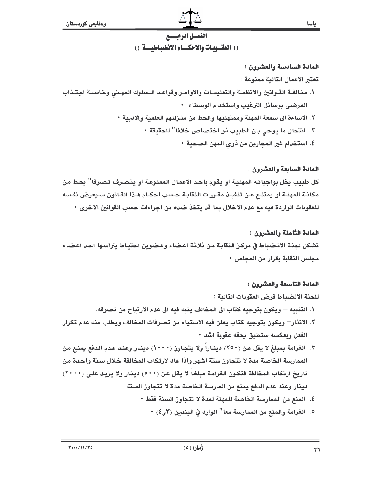

### المادة السادسة والعشرون :

### تعتبر الاعمال التالية ممنوعة :

- ١. مخالفـة القـوانين والانظمـة والتعليمـات والاوامـر وقواعـد الـسلوك المهـنى وخاصـة اجتـذاب المرضى بوسائل الترغيب واستخدام الوسطاء •
	- ٢. الاساءة الى سمعة المهنة وممتهنيها والحط من منـزلتهم العلمية والادبية ٠
		- ٣. انتحال ما يوحى بان الطبيب ذو اختصاص خلافا" للحقيقة ٠
			- ٤. استخدام غير المجازين من ذوى المهن الصحية ٠

# المادة السابعة والعشرون :

كل طبيب يخل بواجباته المهنية او يقوم باحد الاعمال الممنوعة او يتصرف تصرفا" يحط من مكانـة المهنـة او يمتنــع عـن تنفيـذ مقـررات النقابـة حـسب احكـام هـذا القـانون سـيعرض نفـسه للعقوبات الواردة فيه مع عدم الاخلال بما قد يتخذ ضده من اجراءات حسب القوانين الاخرى ٠

# المادة الثَّامنة والعشرون :

تشكل لجنـة الانـضباط في مركـز النقابـة مـن ثلاثـة اعـضاء وعـضوين احتيـاط يترأسـها احـد اعـضاء مجلس النقابة بقرار من المحلس •

# المادة التاسعة والعشرون :

للجنة الانضباط فرض العقوبات التالية :

- ١. التنبيه ويكون بتوجيه كتاب الى المخالف ينبه فيه الى عدم الارتياح من تصرفه.
- ٢. الانذار– ويكون بتوجيه كتاب يعلن فيه الاستياء من تصرفات المخالف ويطلب منه عدم تكرار الفعل وبعكسه ستطبق بحقه عقوبة اشد ٠
- ٣. الغرامة بمبلغ لا يقل عن (٢٥٠) ديناراً ولا يتجاوز (١٠٠٠) دينار وعند عدم الدفع يمنع من الممارسة الخاصة مدة لا تتجاوز ستة اشهر واذا عاد لارتكاب المخالفة خلال سنة واحدة من تاريخ ارتكاب المخالفة فتكون الغرامة مبلغاً لا يقل عن (٥٠٠) دينار ولا يزيد على (٢٠٠٠) دينار وعند عدم الدفع يمنع من المارسة الخاصة مدة لا تتجاوز السنة
	- ٤. المنع من الممارسة الخاصة للمهنة لمدة لا تتجاوز السنة فقط ٠
		- ٥. الغرامة والمنع من الممارسة معا" الوارد في البندين (٣و٤) •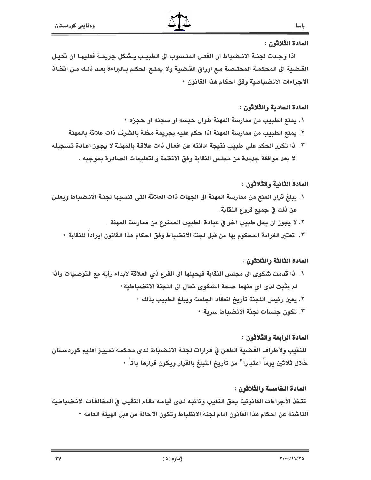### المادة الثلاثون :

اذا وجدت لجنـة الانـضباط ان الفعـل المنـسوب الى الطبيـب يـشكل جريمـة فعليهـا ان تحيـل القـضية الى المحكمـة المختـصـة مـع اوراق القـضية ولا يمنـع الحكـم بـالبراءة بعـد ذلـك مـن انتّخـاذ الاجراءات الانضباطية وفق احكام هذا القانون •

#### المادة الحادية والثلاثون :

- ١. يمنع الطبيب من ممارسة المهنة طوال حبسه او سجنه او حجزه ٠
- ٢. يمنع الطبيب من ممارسة المهنة اذا حكم عليه بجريمة مخلة بالشرف ذات علاقة بالمهنة
- ٣. اذا تكرر الحكم على طبيب نتيجة ادانته عن افعال ذات علاقة بالمهنـة لا يجـوز اعـادة تسـجيله الا بعد موافقة جديدة من مجلس النقابة وفق الانظمة والتعليمات الصادرة بموجبه .

### المادة الثّانية والثّلاثون :

- ١. يبلغ قرار المنع من ممارسة المهنة الى الجهات ذات العلاقة التي تنسبها لجنـة الانـضباط ويعلـن عن ذلك في جميع فروع النقابة.
	- ٢. لا يجوز ان يحل طبيب أخر في عيادة الطبيب الممنوع من ممارسة المهنة .
	- ٣. تعتبر الغرامة المحكوم بها من قبل لجنة الانضباط وفق احكام هذا القانون ايرادا للنقابة ٠

## المادة الثَّالثة والثَّلاثون :

- ١. اذا قدمت شكوى الى مجلس النقابة فيحيلها الى الفرع ذي العلاقة لابداء رأيه مع التوصيات واذا لم يثبت لدى أي منهما صحة الشكوى نحال الى اللجنة الانضباطية ·
	- ٢. يعين رئيس اللجنة تأريخ انعقاد الجلسة ويبلغ الطبيب بذلك ٠
		- ٣. تكون جلسات لجنة الانضباط سرية ٠

### المادة الرابعة والثلاثون :

للنقيب ولأطراف القضية الطعن في قرارات لجنة الانضباط لدى محكمة تمييز اقليم كوردستان خلال ثلاثين يوما اعتبارا'' من تأريخ التبلغ بالقرار ويكون قرارها باتا ٠

### المادة الخامسة والثلاثون :

تتخذ الاجراءات القانونية بحق النقيب ونائبه لدى قيامه مقام النقيب في المخالفات الانضباطية الناشئة عن احكام هذا القانون امام لجنة الانظباط وتكون الاحالة من قبل الهيئة العامة ٠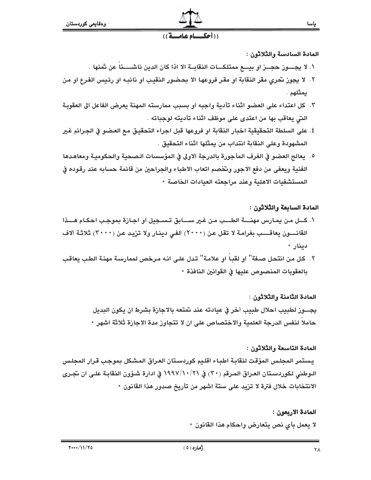#### ((أحكــاء عاء  $(1)$

## المادة السادسة والثلاثون :

- ١. لا يجــــوز حجـــز او بيــــع ممتلكــــات النقابــة الا اذا كان الدين ناشـــــئاً عن شنها .
- ٢. لا يجوز نحرى مقر النقابة او مقر فروعها الا بحضور النقيب او نائبه او رئيس الفرع او من يمثلهم .
- ٣. كل اعتداء على العضو اثناء تأدية واجبه او بسبب ممارسته المهنة يعرض الفاعل الى العقوبة التي يعاقب بها من اعتدى على موظف اثناء تأديته لوجباته .
- ٤. على السلطة التحقيقية اخبار النقابة او فروعها قبل اجراء التحقيق مع العضو في الجرائم غير المشهودة وعلى النقابة انتداب من يمثلها اثناء التحقيق .
- ٥. يعالج العضو في الغرف المأجورة بالدرجة الاولى في المؤسسات الـصحية والحكوميـة ومعاهدها الفنية ويعفى من دفع الاجور وتخصم اتعاب الاطباء والجراحين من قائمة حسابه عند رقوده في المستشفيات الاهلية وعند مراجعته العيادات الخاصة ٠

## المادة السابعة والثلاثون :

- ١. كــل مـن يمـارس مهنــــة الطـــب مـن غـير ســــابق تـســجيل او اجـازة بموجب احكـام هـــذا القانـــــون يعاقـــــب بغرامـة لا تقل عـن (٢٠٠٠) ألفـي دينـار ولا تزيـد عـن (٣٠٠٠) ثلاثـة ألاف دينار ٠
- ٢. كل من انتحل صـفة'' او لقبـاً او علامـة'' تـدل علـى انـه مـرخص لممارسـة مهنـة الطـب يعاقب بالعقوبات المنصوص عليها في القوانين النافذة •

# المادة الثامنة والثلاثون :

يجــــوز لطبيب احلال طبيب أخر في عيادته عند تمتعه بالاجازة بشرط ان يكون البديل حاملا لنفس الدرجة العلمية والاختصاص على ان لا تتجاوز مدة الاجازة ثلاثة اشهر •

### المادة التاسعة والثلاثون :

يستمر المجلس المؤقت لنقابة اطباء اقليم كوردستان العراق المشكل بموجب قرار المجلس الـوطني لكوردسـتان العـراق المـرقم (٣٠) في ٧١/١٩٩٧/١٠( في ادارة شـؤون النقابـة علـي ان تجـري الانتخابات خلال فترة لا تزيد على ستة اشهر من تأريخ صدور هذا القانون •

> المادة الاربعون : لا يعمل بأي نص يتعارض واحكام هذا القانون •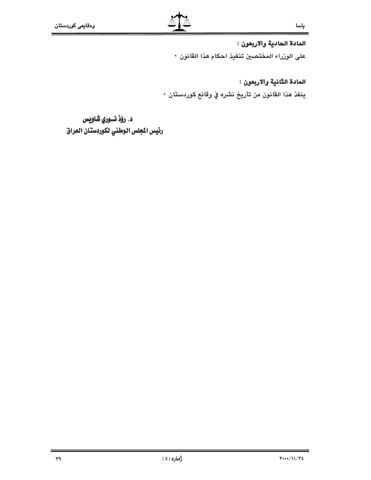المادة الحادية والاربعون :

على الوزراء المختصين تنفيذ احكام هذا القانون •

المادة الثانية والاربعون :

ينفذ هذا القانون من تأريخ نشره في وقائع كوردستان •

د. رؤذ نسوري شاويس رئيس الجلس الوطني لكوردستان العراق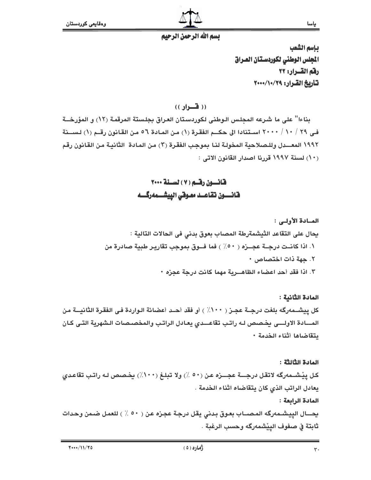

# تسم الله الرحمن الرحيم

بإسم الشعب الجلس الوطني لكوردستان العراق رفم القسرار: ٢٢ تأريخ القرار: ٢٩/١٠/٢٠٠

 $($  ( ( فسواو ))

بِناءا" على ما شرعه المجلس الـوطني لكوردستان العراق بجلستة المرقمة (١٢) و المؤرخــة في ٢٩ / ١٠ / ٢٠٠٠ استنادا الى حكـــم الفقـرة (١) من المـادة ٥٦ من القـانون رقــم (١) لـســنة ١٩٩٢ المعـــدل وللـصلاحية المخولـة لنـا بموجب الفقـرة (٣) مـن المـادة الثانيـة مـن القـانون رقـم (١٠) لسنة ١٩٩٧ قررنا اصدار القانون الاتي :

المسادة الأولى : يحال على التقاعد الثيشمةرطة المصاب بعوق بدني في الحالات التالية : ١. اذا كانــت درجــة عجـــزه ( ٥٠٪ ) فما فـــوق بموجب تقاريـر طبية صـادرة من ٢. حهة ذات اختصاص ٠ ٣. اذا فقد أحد اعضاء الظاهـــرية مهما كانت درجة عجزه ٠

المادة الثانية : كل ييشــمەرگـه بلغت درجــة عجــز ( ١٠٠٪ ) أو فقد أحــد أعضائة الـواردة فـي الفقـرة الثانيـــة من المسادة الاولسي يخصص له راتب تقاعــدي يعـادل الراتب والمخصـصات الـشهرية التـى كـان يتقاضاها أثناء الخدمة ٠

المادة الثالثة : كل ييْشــمەرگە لاتقـل درجــــة عجــــزه عـن (٥٠ ٪) ولا تبلـغ (١٠٠٪) يخـصص لـه راتـب تقاعـدى يعادل الراتب الذي كان يتقاضاه اثناء الخدمة . المادة الرابعة : يحـــال الييشــمهرگه المـصـــاب بعـوق بـدنى يقل درجـة عجـزه عـن ( ٥٠ ٪ ) للعمـل ضـمن وحـدات ثابتة في صفوف الييشمهرگه وحسب الرغبة .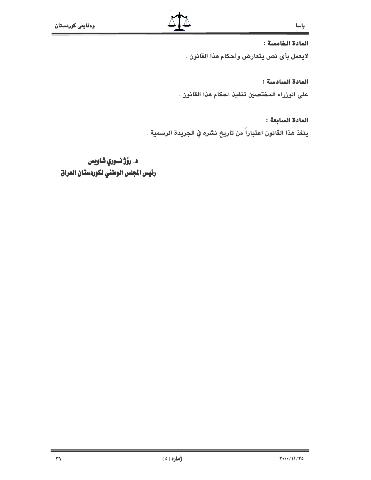#### المادة الخامسة :

لايعمل بأي نص يتعارض وأحكام هذا القانون .

### المادة السادسة :

على الوزراء المختصين تنفيذ احكام هذا القانون .

## المادة السابعة :

ينفذ هذا القانون اعتباراً من تاريخ نشره في الجريدة الرسمية .

د. رؤژ نسوري شاويس رئيس المجلس الوطني لكوردستان العراق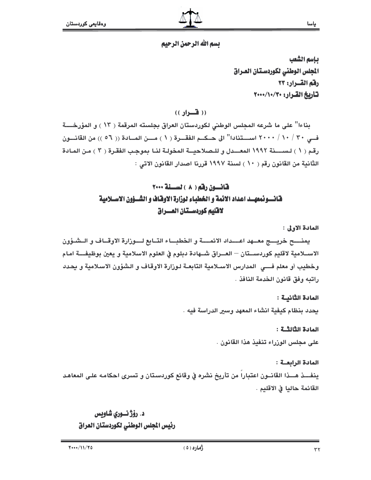بإسم الشعب المجلس الوطنى لكوردستان العراق رقم القسرار: ٢٣ تاريخ القرار: ٧٠٠/١٠/٣٠

 $($ ( ( هنواد ))

بناءا" على ما شرعه المجلس الوطني لكوردستان العراق بجلسته المرقمة ( ١٣ ) و المؤرخــــة فــي ٣٠ / ١٠ / ٢٠٠٠ اســـتنادا" الى حــكــم الفقـــرة ( ١ ) مــــن المـــادة (( ٥٦ )) من القانـــون رقم ( ١ ) لسيسنة ١٩٩٢ المعسدل و للبصلاحية المخولة لنيا بموجب الفقرة ( ٣ ) من المبادة الثَّانية من القانون رقم ( ١٠ ) لسنة ١٩٩٧ قررنا اصدار القانون الاتي :

# قانسون رقم ( ٨ ) لسنة ٢٠٠٠ فانسونمعهسد اعداد الائمة و الخطباء لوزارة الاوفاف و الشسؤون الاسـلامية لافليم كوردستان العسراق

## المادة الأولى :

يمنسع خريسج معــهد اعـــداد الائمـــة و الخطبــاء التــابع لـــوزارة الاوقــاف و الــشـؤون الاســـلامية لاقليم كوردســـتان — العـــراق شـــهادة دبلوم في العلوم الاسلامية و يعين بوظيفــــة امـام وخطيب أو معلم فـــى المدارس الاســلامية التابعــة لـوزارة الاوقـاف و الـشؤون الاسـلامية و يحـدد راتيه وفق قانون الخدمة النافذ .

# المادة الثانيـة :

بحدد بنظام كيفية انشاء المعهد وسير الدراسة فيه .

# المادة الثالثــة :

على مجلس الوزراء تنفيذ هذا القانون .

# المادة الرابعـة :

ينفـــذ هـــذا القانــون اعتبارا من تأريخ نشره في وقائع كوردسـتان و تسرى احكامـه علـى المعاهـد القائمة حاليا في الاقليم .

# د. رۆژنسورى شاويس رئيس الجلس الوطني لكوردستان العراق